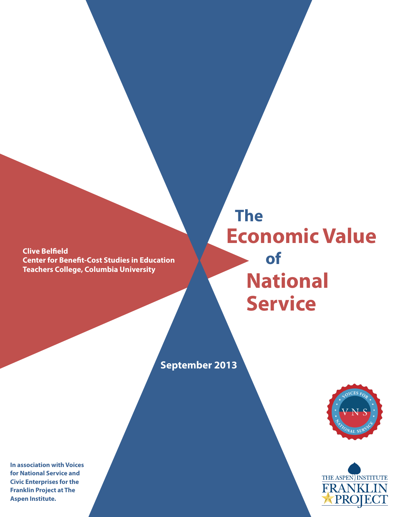**Clive Belfield Center for Benefit-Cost Studies in Education Teachers College, Columbia University**

**National Service The of Economic Value**

**September 2013**





**In association with Voices for National Service and Civic Enterprises for the Franklin Project at The Aspen Institute.**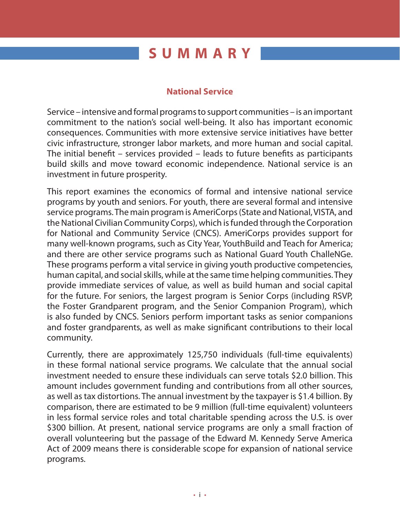# **SUMMARY**

## **National Service**

Service – intensive and formal programs to support communities – is an important commitment to the nation's social well-being. It also has important economic consequences. Communities with more extensive service initiatives have better civic infrastructure, stronger labor markets, and more human and social capital. The initial benefit – services provided – leads to future benefits as participants build skills and move toward economic independence. National service is an investment in future prosperity.

This report examines the economics of formal and intensive national service programs by youth and seniors. For youth, there are several formal and intensive service programs. The main program is AmeriCorps (State and National, VISTA, and the National Civilian Community Corps), which is funded through the Corporation for National and Community Service (CNCS). AmeriCorps provides support for many well-known programs, such as City Year, YouthBuild and Teach for America; and there are other service programs such as National Guard Youth ChalleNGe. These programs perform a vital service in giving youth productive competencies, human capital, and social skills, while at the same time helping communities. They provide immediate services of value, as well as build human and social capital for the future. For seniors, the largest program is Senior Corps (including RSVP, the Foster Grandparent program, and the Senior Companion Program), which is also funded by CNCS. Seniors perform important tasks as senior companions and foster grandparents, as well as make significant contributions to their local community.

Currently, there are approximately 125,750 individuals (full-time equivalents) in these formal national service programs. We calculate that the annual social investment needed to ensure these individuals can serve totals \$2.0 billion. This amount includes government funding and contributions from all other sources, as well as tax distortions. The annual investment by the taxpayer is \$1.4 billion. By comparison, there are estimated to be 9 million (full-time equivalent) volunteers in less formal service roles and total charitable spending across the U.S. is over \$300 billion. At present, national service programs are only a small fraction of overall volunteering but the passage of the Edward M. Kennedy Serve America Act of 2009 means there is considerable scope for expansion of national service programs.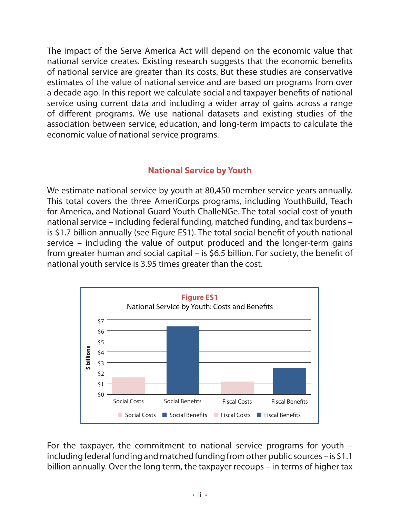The impact of the Serve America Act will depend on the economic value that national service creates. Existing research suggests that the economic benefits of national service are greater than its costs. But these studies are conservative estimates of the value of national service and are based on programs from over a decade ago. In this report we calculate social and taxpayer benefits of national service using current data and including a wider array of gains across a range of different programs. We use national datasets and existing studies of the association between service, education, and long-term impacts to calculate the economic value of national service programs.

## **National Service by Youth**

We estimate national service by youth at 80,450 member service years annually. This total covers the three AmeriCorps programs, including YouthBuild, Teach for America, and National Guard Youth ChalleNGe. The total social cost of youth national service – including federal funding, matched funding, and tax burdens – is \$1.7 billion annually (see Figure ES1). The total social benefit of youth national service – including the value of output produced and the longer-term gains from greater human and social capital – is \$6.5 billion. For society, the benefit of national youth service is 3.95 times greater than the cost.



For the taxpayer, the commitment to national service programs for youth – including federal funding and matched funding from other public sources – is \$1.1 billion annually. Over the long term, the taxpayer recoups – in terms of higher tax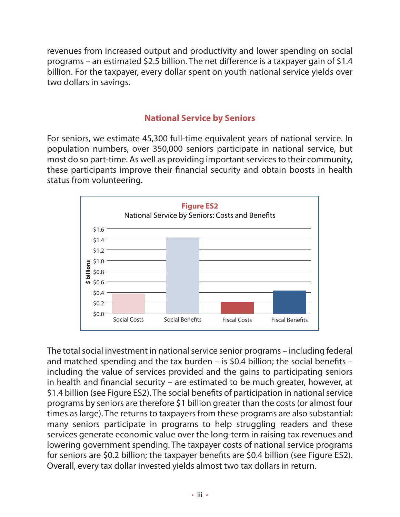revenues from increased output and productivity and lower spending on social programs – an estimated \$2.5 billion. The net difference is a taxpayer gain of \$1.4 billion. For the taxpayer, every dollar spent on youth national service yields over two dollars in savings.

## **National Service by Seniors**

For seniors, we estimate 45,300 full-time equivalent years of national service. In population numbers, over 350,000 seniors participate in national service, but most do so part-time. As well as providing important services to their community, these participants improve their financial security and obtain boosts in health status from volunteering.



The total social investment in national service senior programs – including federal and matched spending and the tax burden – is \$0.4 billion; the social benefits – including the value of services provided and the gains to participating seniors in health and financial security – are estimated to be much greater, however, at \$1.4 billion (see Figure ES2). The social benefits of participation in national service programs by seniors are therefore \$1 billion greater than the costs (or almost four times as large). The returns to taxpayers from these programs are also substantial: many seniors participate in programs to help struggling readers and these services generate economic value over the long-term in raising tax revenues and lowering government spending. The taxpayer costs of national service programs for seniors are \$0.2 billion; the taxpayer benefits are \$0.4 billion (see Figure ES2). Overall, every tax dollar invested yields almost two tax dollars in return.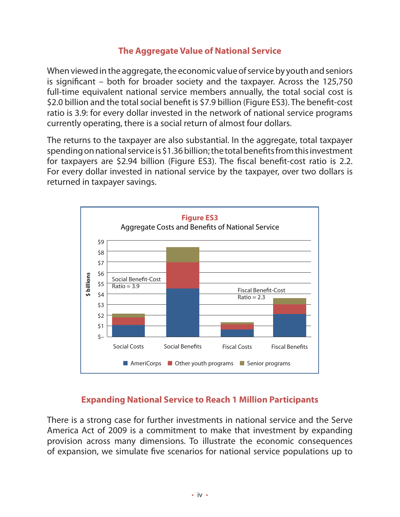## **The Aggregate Value of National Service**

When viewed in the aggregate, the economic value of service by youth and seniors is significant – both for broader society and the taxpayer. Across the 125,750 full-time equivalent national service members annually, the total social cost is \$2.0 billion and the total social benefit is \$7.9 billion (Figure ES3). The benefit-cost ratio is 3.9: for every dollar invested in the network of national service programs currently operating, there is a social return of almost four dollars.

The returns to the taxpayer are also substantial. In the aggregate, total taxpayer spending on national service is \$1.36 billion; the total benefits from this investment for taxpayers are \$2.94 billion (Figure ES3). The fiscal benefit-cost ratio is 2.2. For every dollar invested in national service by the taxpayer, over two dollars is returned in taxpayer savings.



## **Expanding National Service to Reach 1 Million Participants**

There is a strong case for further investments in national service and the Serve America Act of 2009 is a commitment to make that investment by expanding provision across many dimensions. To illustrate the economic consequences of expansion, we simulate five scenarios for national service populations up to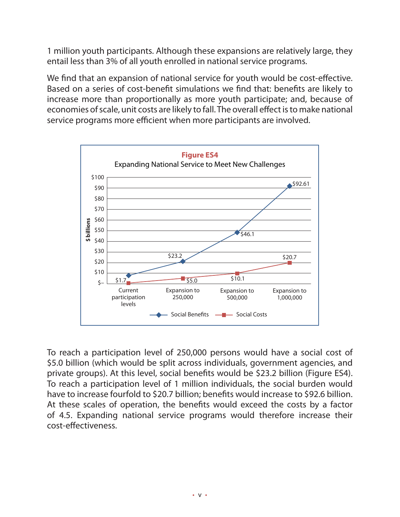1 million youth participants. Although these expansions are relatively large, they entail less than 3% of all youth enrolled in national service programs.

We find that an expansion of national service for youth would be cost-effective. Based on a series of cost-benefit simulations we find that: benefits are likely to increase more than proportionally as more youth participate; and, because of economies of scale, unit costs are likely to fall. The overall effect is to make national service programs more efficient when more participants are involved.



To reach a participation level of 250,000 persons would have a social cost of \$5.0 billion (which would be split across individuals, government agencies, and private groups). At this level, social benefits would be \$23.2 billion (Figure ES4). To reach a participation level of 1 million individuals, the social burden would have to increase fourfold to \$20.7 billion; benefits would increase to \$92.6 billion. At these scales of operation, the benefits would exceed the costs by a factor of 4.5. Expanding national service programs would therefore increase their cost-effectiveness.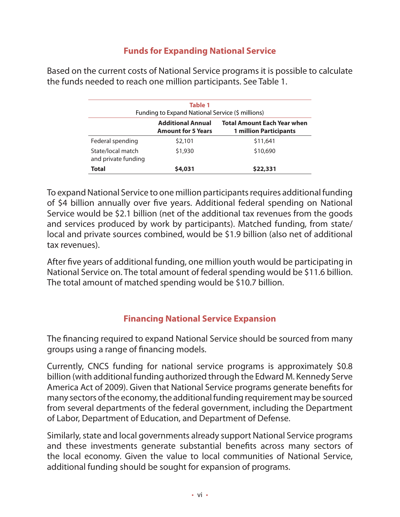## **Funds for Expanding National Service**

Based on the current costs of National Service programs it is possible to calculate the funds needed to reach one million participants. See Table 1.

| Table 1<br>Funding to Expand National Service (\$ millions)                                                                  |         |          |  |  |  |
|------------------------------------------------------------------------------------------------------------------------------|---------|----------|--|--|--|
| <b>Total Amount Each Year when</b><br><b>Additional Annual</b><br><b>1 million Participants</b><br><b>Amount for 5 Years</b> |         |          |  |  |  |
| Federal spending                                                                                                             | \$2,101 | \$11,641 |  |  |  |
| State/local match<br>and private funding                                                                                     | \$1,930 | \$10,690 |  |  |  |
| Total                                                                                                                        | \$4,031 | \$22,331 |  |  |  |

To expand National Service to one million participants requires additional funding of \$4 billion annually over five years. Additional federal spending on National Service would be \$2.1 billion (net of the additional tax revenues from the goods and services produced by work by participants). Matched funding, from state/ local and private sources combined, would be \$1.9 billion (also net of additional tax revenues).

After five years of additional funding, one million youth would be participating in National Service on. The total amount of federal spending would be \$11.6 billion. The total amount of matched spending would be \$10.7 billion.

## **Financing National Service Expansion**

The financing required to expand National Service should be sourced from many groups using a range of financing models.

Currently, CNCS funding for national service programs is approximately \$0.8 billion (with additional funding authorized through the Edward M. Kennedy Serve America Act of 2009). Given that National Service programs generate benefits for many sectors of the economy, the additional funding requirement may be sourced from several departments of the federal government, including the Department of Labor, Department of Education, and Department of Defense.

Similarly, state and local governments already support National Service programs and these investments generate substantial benefits across many sectors of the local economy. Given the value to local communities of National Service, additional funding should be sought for expansion of programs.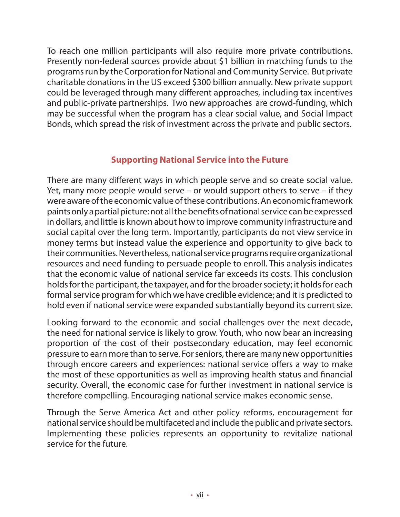To reach one million participants will also require more private contributions. Presently non-federal sources provide about \$1 billion in matching funds to the programs run by the Corporation for National and Community Service. But private charitable donations in the US exceed \$300 billion annually. New private support could be leveraged through many different approaches, including tax incentives and public-private partnerships. Two new approaches are crowd-funding, which may be successful when the program has a clear social value, and Social Impact Bonds, which spread the risk of investment across the private and public sectors.

## **Supporting National Service into the Future**

There are many different ways in which people serve and so create social value. Yet, many more people would serve – or would support others to serve – if they were aware of the economic value of these contributions. An economic framework paints only a partial picture: not all the benefits of national service can be expressed in dollars, and little is known about how to improve community infrastructure and social capital over the long term. Importantly, participants do not view service in money terms but instead value the experience and opportunity to give back to their communities. Nevertheless, national service programs require organizational resources and need funding to persuade people to enroll. This analysis indicates that the economic value of national service far exceeds its costs. This conclusion holds for the participant, the taxpayer, and for the broader society; it holds for each formal service program for which we have credible evidence; and it is predicted to hold even if national service were expanded substantially beyond its current size.

Looking forward to the economic and social challenges over the next decade, the need for national service is likely to grow. Youth, who now bear an increasing proportion of the cost of their postsecondary education, may feel economic pressure to earn more than to serve. For seniors, there are many new opportunities through encore careers and experiences: national service offers a way to make the most of these opportunities as well as improving health status and financial security. Overall, the economic case for further investment in national service is therefore compelling. Encouraging national service makes economic sense.

Through the Serve America Act and other policy reforms, encouragement for national service should be multifaceted and include the public and private sectors. Implementing these policies represents an opportunity to revitalize national service for the future.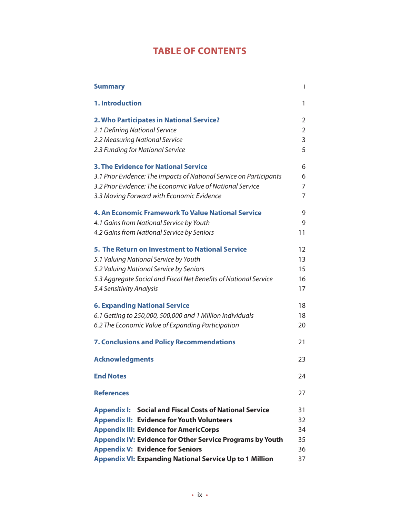## **TABLE OF CONTENTS**

| <b>Summary</b>                                                      | Ť              |
|---------------------------------------------------------------------|----------------|
| 1. Introduction                                                     | 1              |
| 2. Who Participates in National Service?                            | $\overline{2}$ |
| 2.1 Defining National Service                                       | $\overline{2}$ |
| 2.2 Measuring National Service                                      | 3              |
| 2.3 Funding for National Service                                    | 5              |
| <b>3. The Evidence for National Service</b>                         | 6              |
| 3.1 Prior Evidence: The Impacts of National Service on Participants | 6              |
| 3.2 Prior Evidence: The Economic Value of National Service          | 7              |
| 3.3 Moving Forward with Economic Evidence                           | 7              |
| 4. An Economic Framework To Value National Service                  | 9              |
| 4.1 Gains from National Service by Youth                            | 9              |
| 4.2 Gains from National Service by Seniors                          | 11             |
| 5. The Return on Investment to National Service                     | 12             |
| 5.1 Valuing National Service by Youth                               | 13             |
| 5.2 Valuing National Service by Seniors                             | 15             |
| 5.3 Aggregate Social and Fiscal Net Benefits of National Service    | 16             |
| 5.4 Sensitivity Analysis                                            | 17             |
| <b>6. Expanding National Service</b>                                | 18             |
| 6.1 Getting to 250,000, 500,000 and 1 Million Individuals           | 18             |
| 6.2 The Economic Value of Expanding Participation                   | 20             |
| <b>7. Conclusions and Policy Recommendations</b>                    | 21             |
| <b>Acknowledgments</b>                                              | 23             |
| <b>End Notes</b>                                                    | 24             |
| <b>References</b>                                                   | 27             |
| <b>Appendix I: Social and Fiscal Costs of National Service</b>      | 31             |
| <b>Appendix II: Evidence for Youth Volunteers</b>                   | 32             |
| <b>Appendix III: Evidence for AmericCorps</b>                       | 34             |
| <b>Appendix IV: Evidence for Other Service Programs by Youth</b>    | 35             |
| <b>Appendix V: Evidence for Seniors</b>                             | 36             |
| <b>Appendix VI: Expanding National Service Up to 1 Million</b>      | 37             |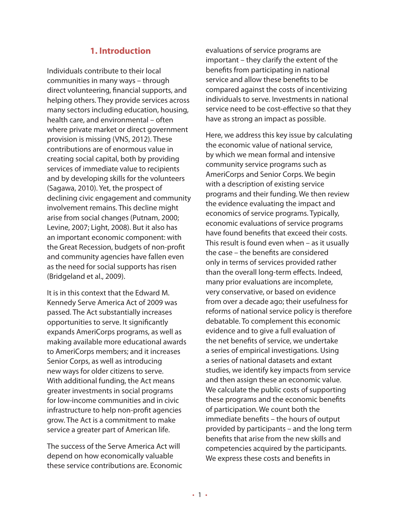## **1. Introduction**

Individuals contribute to their local communities in many ways – through direct volunteering, financial supports, and helping others. They provide services across many sectors including education, housing, health care, and environmental – often where private market or direct government provision is missing (VNS, 2012). These contributions are of enormous value in creating social capital, both by providing services of immediate value to recipients and by developing skills for the volunteers (Sagawa, 2010). Yet, the prospect of declining civic engagement and community involvement remains. This decline might arise from social changes (Putnam, 2000; Levine, 2007; Light, 2008). But it also has an important economic component: with the Great Recession, budgets of non-profit and community agencies have fallen even as the need for social supports has risen (Bridgeland et al., 2009).

It is in this context that the Edward M. Kennedy Serve America Act of 2009 was passed. The Act substantially increases opportunities to serve. It significantly expands AmeriCorps programs, as well as making available more educational awards to AmeriCorps members; and it increases Senior Corps, as well as introducing new ways for older citizens to serve. With additional funding, the Act means greater investments in social programs for low-income communities and in civic infrastructure to help non-profit agencies grow. The Act is a commitment to make service a greater part of American life.

The success of the Serve America Act will depend on how economically valuable these service contributions are. Economic evaluations of service programs are important – they clarify the extent of the benefits from participating in national service and allow these benefits to be compared against the costs of incentivizing individuals to serve. Investments in national service need to be cost-effective so that they have as strong an impact as possible.

Here, we address this key issue by calculating the economic value of national service, by which we mean formal and intensive community service programs such as AmeriCorps and Senior Corps. We begin with a description of existing service programs and their funding. We then review the evidence evaluating the impact and economics of service programs. Typically, economic evaluations of service programs have found benefits that exceed their costs. This result is found even when – as it usually the case – the benefits are considered only in terms of services provided rather than the overall long-term effects. Indeed, many prior evaluations are incomplete, very conservative, or based on evidence from over a decade ago; their usefulness for reforms of national service policy is therefore debatable. To complement this economic evidence and to give a full evaluation of the net benefits of service, we undertake a series of empirical investigations. Using a series of national datasets and extant studies, we identify key impacts from service and then assign these an economic value. We calculate the public costs of supporting these programs and the economic benefits of participation. We count both the immediate benefits – the hours of output provided by participants – and the long term benefits that arise from the new skills and competencies acquired by the participants. We express these costs and benefits in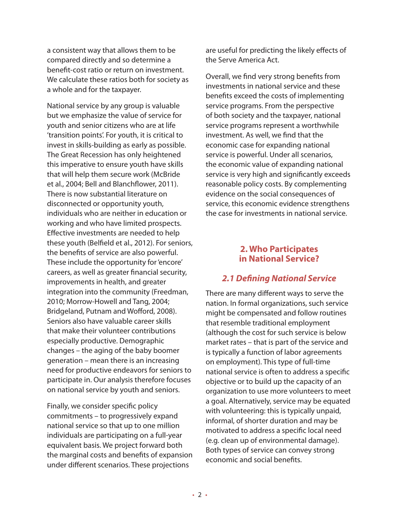a consistent way that allows them to be compared directly and so determine a benefit-cost ratio or return on investment. We calculate these ratios both for society as a whole and for the taxpayer.

National service by any group is valuable but we emphasize the value of service for youth and senior citizens who are at life 'transition points'. For youth, it is critical to invest in skills-building as early as possible. The Great Recession has only heightened this imperative to ensure youth have skills that will help them secure work (McBride et al., 2004; Bell and Blanchflower, 2011). There is now substantial literature on disconnected or opportunity youth, individuals who are neither in education or working and who have limited prospects. Effective investments are needed to help these youth (Belfield et al., 2012). For seniors, the benefits of service are also powerful. These include the opportunity for 'encore' careers, as well as greater financial security, improvements in health, and greater integration into the community (Freedman, 2010; Morrow-Howell and Tang, 2004; Bridgeland, Putnam and Wofford, 2008). Seniors also have valuable career skills that make their volunteer contributions especially productive. Demographic changes – the aging of the baby boomer generation – mean there is an increasing need for productive endeavors for seniors to participate in. Our analysis therefore focuses on national service by youth and seniors.

Finally, we consider specific policy commitments – to progressively expand national service so that up to one million individuals are participating on a full-year equivalent basis. We project forward both the marginal costs and benefits of expansion under different scenarios. These projections

are useful for predicting the likely effects of the Serve America Act.

Overall, we find very strong benefits from investments in national service and these benefits exceed the costs of implementing service programs. From the perspective of both society and the taxpayer, national service programs represent a worthwhile investment. As well, we find that the economic case for expanding national service is powerful. Under all scenarios, the economic value of expanding national service is very high and significantly exceeds reasonable policy costs. By complementing evidence on the social consequences of service, this economic evidence strengthens the case for investments in national service.

## **2. Who Participates in National Service?**

## *2.1 Defining National Service*

There are many different ways to serve the nation. In formal organizations, such service might be compensated and follow routines that resemble traditional employment (although the cost for such service is below market rates – that is part of the service and is typically a function of labor agreements on employment). This type of full-time national service is often to address a specific objective or to build up the capacity of an organization to use more volunteers to meet a goal. Alternatively, service may be equated with volunteering: this is typically unpaid, informal, of shorter duration and may be motivated to address a specific local need (e.g. clean up of environmental damage). Both types of service can convey strong economic and social benefits.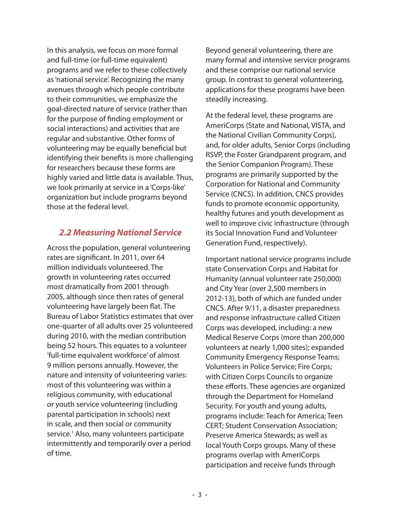In this analysis, we focus on more formal and full-time (or full-time equivalent) programs and we refer to these collectively as 'national service'. Recognizing the many avenues through which people contribute to their communities, we emphasize the goal-directed nature of service (rather than for the purpose of finding employment or social interactions) and activities that are regular and substantive. Other forms of volunteering may be equally beneficial but identifying their benefits is more challenging for researchers because these forms are highly varied and little data is available. Thus, we look primarily at service in a 'Corps-like' organization but include programs beyond those at the federal level.

## *2.2 Measuring National Service*

Across the population, general volunteering rates are significant. In 2011, over 64 million individuals volunteered. The growth in volunteering rates occurred most dramatically from 2001 through 2005, although since then rates of general volunteering have largely been flat. The Bureau of Labor Statistics estimates that over one-quarter of all adults over 25 volunteered during 2010, with the median contribution being 52 hours. This equates to a volunteer 'full-time equivalent workforce' of almost 9 million persons annually. However, the nature and intensity of volunteering varies: most of this volunteering was within a religious community, with educational or youth service volunteering (including parental participation in schools) next in scale, and then social or community service.<sup>1</sup> Also, many volunteers participate intermittently and temporarily over a period of time.

Beyond general volunteering, there are many formal and intensive service programs and these comprise our national service group. In contrast to general volunteering, applications for these programs have been steadily increasing.

At the federal level, these programs are AmeriCorps (State and National, VISTA, and the National Civilian Community Corps), and, for older adults, Senior Corps (including RSVP, the Foster Grandparent program, and the Senior Companion Program). These programs are primarily supported by the Corporation for National and Community Service (CNCS). In addition, CNCS provides funds to promote economic opportunity, healthy futures and youth development as well to improve civic infrastructure (through its Social Innovation Fund and Volunteer Generation Fund, respectively).

Important national service programs include state Conservation Corps and Habitat for Humanity (annual volunteer rate 250,000) and City Year (over 2,500 members in 2012-13), both of which are funded under CNCS. After 9/11, a disaster preparedness and response infrastructure called Citizen Corps was developed, including: a new Medical Reserve Corps (more than 200,000 volunteers at nearly 1,000 sites); expanded Community Emergency Response Teams; Volunteers in Police Service; Fire Corps; with Citizen Corps Councils to organize these efforts. These agencies are organized through the Department for Homeland Security. For youth and young adults, programs include: Teach for America; Teen CERT; Student Conservation Association; Preserve America Stewards; as well as local Youth Corps groups. Many of these programs overlap with AmeriCorps participation and receive funds through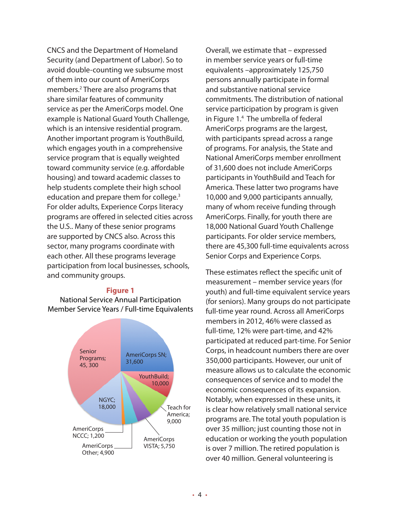CNCS and the Department of Homeland Security (and Department of Labor). So to avoid double-counting we subsume most of them into our count of AmeriCorps members.<sup>2</sup> There are also programs that share similar features of community service as per the AmeriCorps model. One example is National Guard Youth Challenge, which is an intensive residential program. Another important program is YouthBuild, which engages youth in a comprehensive service program that is equally weighted toward community service (e.g. affordable housing) and toward academic classes to help students complete their high school education and prepare them for college.<sup>3</sup> For older adults, Experience Corps literacy programs are offered in selected cities across the U.S.. Many of these senior programs are supported by CNCS also. Across this sector, many programs coordinate with each other. All these programs leverage participation from local businesses, schools, and community groups.

#### **Figure 1**

National Service Annual Participation Member Service Years / Full-time Equivalents



Overall, we estimate that – expressed in member service years or full-time equivalents –approximately 125,750 persons annually participate in formal and substantive national service commitments. The distribution of national service participation by program is given in Figure 1.4 The umbrella of federal AmeriCorps programs are the largest, with participants spread across a range of programs. For analysis, the State and National AmeriCorps member enrollment of 31,600 does not include AmeriCorps participants in YouthBuild and Teach for America. These latter two programs have 10,000 and 9,000 participants annually, many of whom receive funding through AmeriCorps. Finally, for youth there are 18,000 National Guard Youth Challenge participants. For older service members, there are 45,300 full-time equivalents across Senior Corps and Experience Corps.

These estimates reflect the specific unit of measurement – member service years (for youth) and full-time equivalent service years (for seniors). Many groups do not participate full-time year round. Across all AmeriCorps members in 2012, 46% were classed as full-time, 12% were part-time, and 42% participated at reduced part-time. For Senior Corps, in headcount numbers there are over 350,000 participants. However, our unit of measure allows us to calculate the economic consequences of service and to model the economic consequences of its expansion. Notably, when expressed in these units, it is clear how relatively small national service programs are. The total youth population is over 35 million; just counting those not in education or working the youth population is over 7 million. The retired population is over 40 million. General volunteering is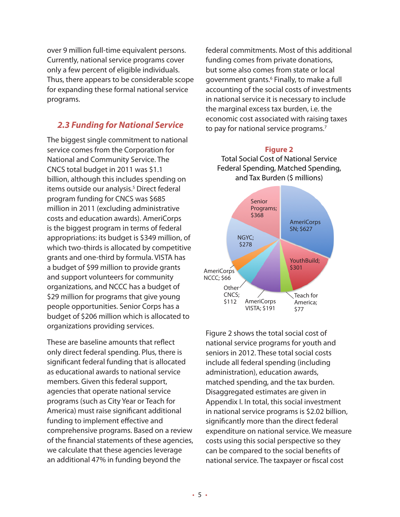over 9 million full-time equivalent persons. Currently, national service programs cover only a few percent of eligible individuals. Thus, there appears to be considerable scope for expanding these formal national service programs.

## *2.3 Funding for National Service*

The biggest single commitment to national service comes from the Corporation for National and Community Service. The CNCS total budget in 2011 was \$1.1 billion, although this includes spending on items outside our analysis.<sup>5</sup> Direct federal program funding for CNCS was \$685 million in 2011 (excluding administrative costs and education awards). AmeriCorps is the biggest program in terms of federal appropriations: its budget is \$349 million, of which two-thirds is allocated by competitive grants and one-third by formula. VISTA has a budget of \$99 million to provide grants and support volunteers for community organizations, and NCCC has a budget of \$29 million for programs that give young people opportunities. Senior Corps has a budget of \$206 million which is allocated to organizations providing services.

These are baseline amounts that reflect only direct federal spending. Plus, there is significant federal funding that is allocated as educational awards to national service members. Given this federal support, agencies that operate national service programs (such as City Year or Teach for America) must raise significant additional funding to implement effective and comprehensive programs. Based on a review of the financial statements of these agencies, we calculate that these agencies leverage an additional 47% in funding beyond the

federal commitments. Most of this additional funding comes from private donations, but some also comes from state or local government grants.<sup>6</sup> Finally, to make a full accounting of the social costs of investments in national service it is necessary to include the marginal excess tax burden, i.e. the economic cost associated with raising taxes to pay for national service programs.<sup>7</sup>

### **Figure 2**

Total Social Cost of National Service Federal Spending, Matched Spending, and Tax Burden (\$ millions)



Figure 2 shows the total social cost of national service programs for youth and seniors in 2012. These total social costs include all federal spending (including administration), education awards, matched spending, and the tax burden. Disaggregated estimates are given in Appendix I. In total, this social investment in national service programs is \$2.02 billion, significantly more than the direct federal expenditure on national service. We measure costs using this social perspective so they can be compared to the social benefits of national service. The taxpayer or fiscal cost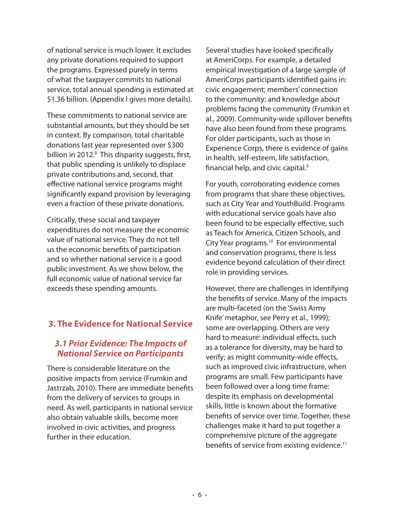of national service is much lower. It excludes any private donations required to support the programs. Expressed purely in terms of what the taxpayer commits to national service, total annual spending is estimated at \$1.36 billion. (Appendix I gives more details).

These commitments to national service are substantial amounts, but they should be set in context. By comparison, total charitable donations last year represented over \$300 billion in 2012.<sup>8</sup> This disparity suggests, first, that public spending is unlikely to displace private contributions and, second, that effective national service programs might significantly expand provision by leveraging even a fraction of these private donations.

Critically, these social and taxpayer expenditures do not measure the economic value of national service. They do not tell us the economic benefits of participation and so whether national service is a good public investment. As we show below, the full economic value of national service far exceeds these spending amounts.

## **3. The Evidence for National Service**

## *3.1 Prior Evidence: The Impacts of National Service on Participants*

There is considerable literature on the positive impacts from service (Frumkin and Jastrzab, 2010). There are immediate benefits from the delivery of services to groups in need. As well, participants in national service also obtain valuable skills, become more involved in civic activities, and progress further in their education.

Several studies have looked specifically at AmeriCorps. For example, a detailed empirical investigation of a large sample of AmeriCorps participants identified gains in: civic engagement; members' connection to the community; and knowledge about problems facing the community (Frumkin et al., 2009). Community-wide spillover benefits have also been found from these programs. For older participants, such as those in Experience Corps, there is evidence of gains in health, self-esteem, life satisfaction, financial help, and civic capital.9

For youth, corroborating evidence comes from programs that share these objectives, such as City Year and YouthBuild. Programs with educational service goals have also been found to be especially effective, such as Teach for America, Citizen Schools, and City Year programs.<sup>10</sup> For environmental and conservation programs, there is less evidence beyond calculation of their direct role in providing services.

However, there are challenges in identifying the benefits of service. Many of the impacts are multi-faceted (on the 'Swiss Army Knife' metaphor, see Perry et al., 1999); some are overlapping. Others are very hard to measure: individual effects, such as a tolerance for diversity, may be hard to verify; as might community-wide effects, such as improved civic infrastructure, when programs are small. Few participants have been followed over a long time frame: despite its emphasis on developmental skills, little is known about the formative benefits of service over time. Together, these challenges make it hard to put together a comprehensive picture of the aggregate benefits of service from existing evidence.<sup>11</sup>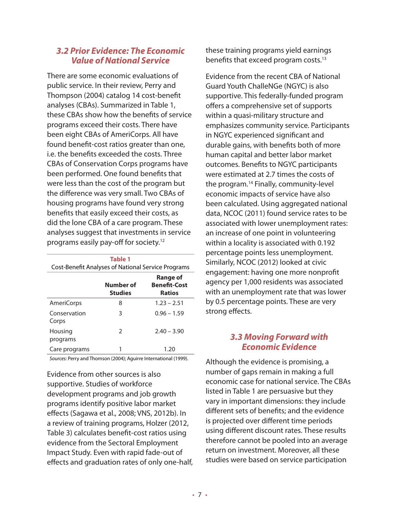## *3.2 Prior Evidence: The Economic Value of National Service*

There are some economic evaluations of public service. In their review, Perry and Thompson (2004) catalog 14 cost-benefit analyses (CBAs). Summarized in Table 1, these CBAs show how the benefits of service programs exceed their costs. There have been eight CBAs of AmeriCorps. All have found benefit-cost ratios greater than one, i.e. the benefits exceeded the costs. Three CBAs of Conservation Corps programs have been performed. One found benefits that were less than the cost of the program but the difference was very small. Two CBAs of housing programs have found very strong benefits that easily exceed their costs, as did the lone CBA of a care program. These analyses suggest that investments in service programs easily pay-off for society.12

|                       | <b>Table 1</b><br><b>Cost-Benefit Analyses of National Service Programs</b> |                                                  |  |  |  |  |  |
|-----------------------|-----------------------------------------------------------------------------|--------------------------------------------------|--|--|--|--|--|
|                       | Number of<br><b>Studies</b>                                                 | Range of<br><b>Benefit-Cost</b><br><b>Ratios</b> |  |  |  |  |  |
| AmeriCorps            | 8                                                                           | $1.23 - 2.51$                                    |  |  |  |  |  |
| Conservation<br>Corps | 3                                                                           | $0.96 - 1.59$                                    |  |  |  |  |  |
| Housing<br>programs   | $\mathcal{P}$                                                               | $2.40 - 3.90$                                    |  |  |  |  |  |
| Care programs         |                                                                             | 1.20                                             |  |  |  |  |  |

*Sources:* Perry and Thomson (2004); Aguirre International (1999).

Evidence from other sources is also supportive. Studies of workforce development programs and job growth programs identify positive labor market effects (Sagawa et al., 2008; VNS, 2012b). In a review of training programs, Holzer (2012, Table 3) calculates benefit-cost ratios using evidence from the Sectoral Employment Impact Study. Even with rapid fade-out of effects and graduation rates of only one-half, these training programs yield earnings benefits that exceed program costs.<sup>13</sup>

Evidence from the recent CBA of National Guard Youth ChalleNGe (NGYC) is also supportive. This federally-funded program offers a comprehensive set of supports within a quasi-military structure and emphasizes community service. Participants in NGYC experienced significant and durable gains, with benefits both of more human capital and better labor market outcomes. Benefits to NGYC participants were estimated at 2.7 times the costs of the program.14 Finally, community-level economic impacts of service have also been calculated. Using aggregated national data, NCOC (2011) found service rates to be associated with lower unemployment rates: an increase of one point in volunteering within a locality is associated with 0.192 percentage points less unemployment. Similarly, NCOC (2012) looked at civic engagement: having one more nonprofit agency per 1,000 residents was associated with an unemployment rate that was lower by 0.5 percentage points. These are very strong effects.

## *3.3 Moving Forward with Economic Evidence*

Although the evidence is promising, a number of gaps remain in making a full economic case for national service. The CBAs listed in Table 1 are persuasive but they vary in important dimensions: they include different sets of benefits; and the evidence is projected over different time periods using different discount rates. These results therefore cannot be pooled into an average return on investment. Moreover, all these studies were based on service participation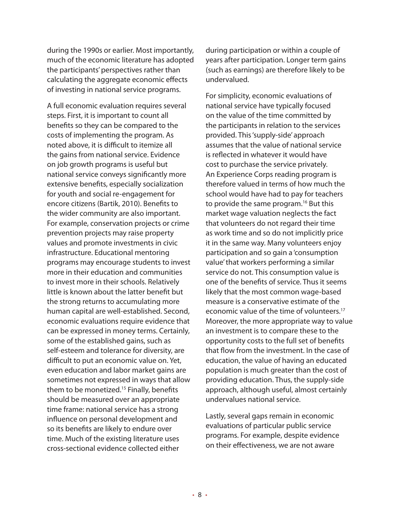during the 1990s or earlier. Most importantly, much of the economic literature has adopted the participants' perspectives rather than calculating the aggregate economic effects of investing in national service programs.

A full economic evaluation requires several steps. First, it is important to count all benefits so they can be compared to the costs of implementing the program. As noted above, it is difficult to itemize all the gains from national service. Evidence on job growth programs is useful but national service conveys significantly more extensive benefits, especially socialization for youth and social re-engagement for encore citizens (Bartik, 2010). Benefits to the wider community are also important. For example, conservation projects or crime prevention projects may raise property values and promote investments in civic infrastructure. Educational mentoring programs may encourage students to invest more in their education and communities to invest more in their schools. Relatively little is known about the latter benefit but the strong returns to accumulating more human capital are well-established. Second, economic evaluations require evidence that can be expressed in money terms. Certainly, some of the established gains, such as self-esteem and tolerance for diversity, are difficult to put an economic value on. Yet, even education and labor market gains are sometimes not expressed in ways that allow them to be monetized.<sup>15</sup> Finally, benefits should be measured over an appropriate time frame: national service has a strong influence on personal development and so its benefits are likely to endure over time. Much of the existing literature uses cross-sectional evidence collected either

during participation or within a couple of years after participation. Longer term gains (such as earnings) are therefore likely to be undervalued.

For simplicity, economic evaluations of national service have typically focused on the value of the time committed by the participants in relation to the services provided. This 'supply-side' approach assumes that the value of national service is reflected in whatever it would have cost to purchase the service privately. An Experience Corps reading program is therefore valued in terms of how much the school would have had to pay for teachers to provide the same program.<sup>16</sup> But this market wage valuation neglects the fact that volunteers do not regard their time as work time and so do not implicitly price it in the same way. Many volunteers enjoy participation and so gain a 'consumption value' that workers performing a similar service do not. This consumption value is one of the benefits of service. Thus it seems likely that the most common wage-based measure is a conservative estimate of the economic value of the time of volunteers.<sup>17</sup> Moreover, the more appropriate way to value an investment is to compare these to the opportunity costs to the full set of benefits that flow from the investment. In the case of education, the value of having an educated population is much greater than the cost of providing education. Thus, the supply-side approach, although useful, almost certainly undervalues national service.

Lastly, several gaps remain in economic evaluations of particular public service programs. For example, despite evidence on their effectiveness, we are not aware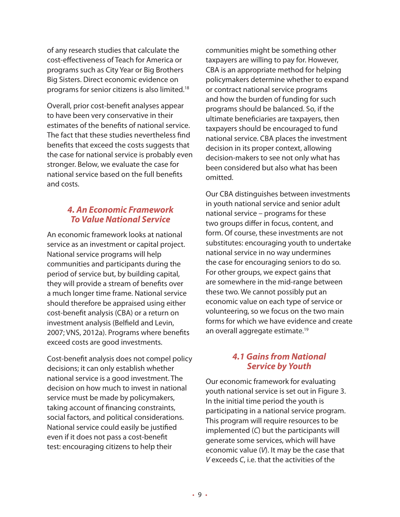of any research studies that calculate the cost-effectiveness of Teach for America or programs such as City Year or Big Brothers Big Sisters. Direct economic evidence on programs for senior citizens is also limited.18

Overall, prior cost-benefit analyses appear to have been very conservative in their estimates of the benefits of national service. The fact that these studies nevertheless find benefits that exceed the costs suggests that the case for national service is probably even stronger. Below, we evaluate the case for national service based on the full benefits and costs.

## *4. An Economic Framework To Value National Service*

An economic framework looks at national service as an investment or capital project. National service programs will help communities and participants during the period of service but, by building capital, they will provide a stream of benefits over a much longer time frame. National service should therefore be appraised using either cost-benefit analysis (CBA) or a return on investment analysis (Belfield and Levin, 2007; VNS, 2012a). Programs where benefits exceed costs are good investments.

Cost-benefit analysis does not compel policy decisions; it can only establish whether national service is a good investment. The decision on how much to invest in national service must be made by policymakers, taking account of financing constraints, social factors, and political considerations. National service could easily be justified even if it does not pass a cost-benefit test: encouraging citizens to help their

communities might be something other taxpayers are willing to pay for. However, CBA is an appropriate method for helping policymakers determine whether to expand or contract national service programs and how the burden of funding for such programs should be balanced. So, if the ultimate beneficiaries are taxpayers, then taxpayers should be encouraged to fund national service. CBA places the investment decision in its proper context, allowing decision-makers to see not only what has been considered but also what has been omitted.

Our CBA distinguishes between investments in youth national service and senior adult national service – programs for these two groups differ in focus, content, and form. Of course, these investments are not substitutes: encouraging youth to undertake national service in no way undermines the case for encouraging seniors to do so. For other groups, we expect gains that are somewhere in the mid-range between these two. We cannot possibly put an economic value on each type of service or volunteering, so we focus on the two main forms for which we have evidence and create an overall aggregate estimate.19

## *4.1 Gains from National Service by Youth*

Our economic framework for evaluating youth national service is set out in Figure 3. In the initial time period the youth is participating in a national service program. This program will require resources to be implemented (*C*) but the participants will generate some services, which will have economic value (*V*). It may be the case that *V* exceeds *C*, i.e. that the activities of the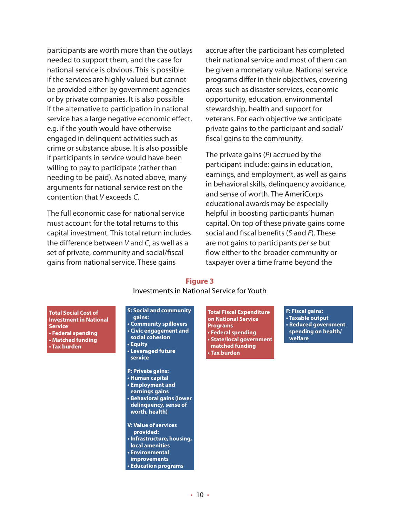participants are worth more than the outlays needed to support them, and the case for national service is obvious. This is possible if the services are highly valued but cannot be provided either by government agencies or by private companies. It is also possible if the alternative to participation in national service has a large negative economic effect, e.g. if the youth would have otherwise engaged in delinquent activities such as crime or substance abuse. It is also possible if participants in service would have been willing to pay to participate (rather than needing to be paid). As noted above, many arguments for national service rest on the contention that *V* exceeds *C*.

The full economic case for national service must account for the total returns to this capital investment. This total return includes the difference between *V* and *C*, as well as a set of private, community and social/fiscal gains from national service. These gains

accrue after the participant has completed their national service and most of them can be given a monetary value. National service programs differ in their objectives, covering areas such as disaster services, economic opportunity, education, environmental stewardship, health and support for veterans. For each objective we anticipate private gains to the participant and social/ fiscal gains to the community.

The private gains (*P*) accrued by the participant include: gains in education, earnings, and employment, as well as gains in behavioral skills, delinquency avoidance, and sense of worth. The AmeriCorps educational awards may be especially helpful in boosting participants' human capital. On top of these private gains come social and fiscal benefits (*S* and *F*). These are not gains to participants *per se* but flow either to the broader community or taxpayer over a time frame beyond the

#### **Figure 3** Investments in National Service for Youth

**Total Social Cost of Investment in National Service • Federal spending • Matched funding • Tax burden**

#### **S: Social and community**

**gains: • Community spillovers • Civic engagement and social cohesion • Equity • Leveraged future service**

**P: Private gains: • Human capital • Employment and earnings gains • Behavioral gains (lower delinquency, sense of worth, health)**

**V: Value of services provided: • Infrastructure, housing, local amenities • Environmental improvements • Education programs**

**Total Fiscal Expenditure on National Service Programs • Federal spending • State/local government matched funding • Tax burden**

**F: Fiscal gains: • Taxable output • Reduced government spending on health/ welfare**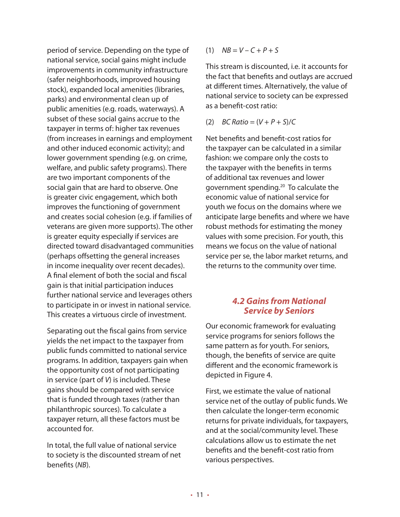period of service. Depending on the type of national service, social gains might include improvements in community infrastructure (safer neighborhoods, improved housing stock), expanded local amenities (libraries, parks) and environmental clean up of public amenities (e.g. roads, waterways). A subset of these social gains accrue to the taxpayer in terms of: higher tax revenues (from increases in earnings and employment and other induced economic activity); and lower government spending (e.g. on crime, welfare, and public safety programs). There are two important components of the social gain that are hard to observe. One is greater civic engagement, which both improves the functioning of government and creates social cohesion (e.g. if families of veterans are given more supports). The other is greater equity especially if services are directed toward disadvantaged communities (perhaps offsetting the general increases in income inequality over recent decades). A final element of both the social and fiscal gain is that initial participation induces further national service and leverages others to participate in or invest in national service. This creates a virtuous circle of investment.

Separating out the fiscal gains from service yields the net impact to the taxpayer from public funds committed to national service programs. In addition, taxpayers gain when the opportunity cost of not participating in service (part of *V*) is included. These gains should be compared with service that is funded through taxes (rather than philanthropic sources). To calculate a taxpayer return, all these factors must be accounted for.

In total, the full value of national service to society is the discounted stream of net benefits (*NB*).

(1) *NB* = *V* – *C* + *P* + *S*

This stream is discounted, i.e. it accounts for the fact that benefits and outlays are accrued at different times. Alternatively, the value of national service to society can be expressed as a benefit-cost ratio:

(2)  $BC Ratio = (V + P + S)/C$ 

Net benefits and benefit-cost ratios for the taxpayer can be calculated in a similar fashion: we compare only the costs to the taxpayer with the benefits in terms of additional tax revenues and lower government spending.20 To calculate the economic value of national service for youth we focus on the domains where we anticipate large benefits and where we have robust methods for estimating the money values with some precision. For youth, this means we focus on the value of national service per se, the labor market returns, and the returns to the community over time.

## *4.2 Gains from National Service by Seniors*

Our economic framework for evaluating service programs for seniors follows the same pattern as for youth. For seniors, though, the benefits of service are quite different and the economic framework is depicted in Figure 4.

First, we estimate the value of national service net of the outlay of public funds. We then calculate the longer-term economic returns for private individuals, for taxpayers, and at the social/community level. These calculations allow us to estimate the net benefits and the benefit-cost ratio from various perspectives.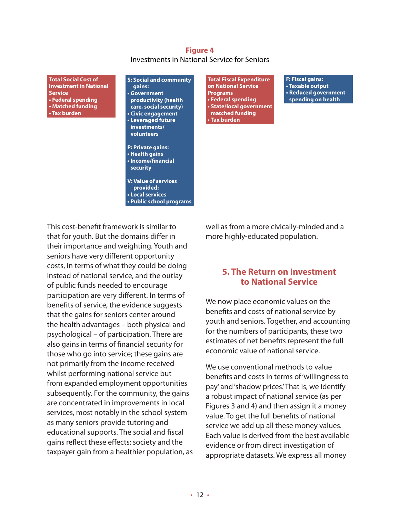#### **Figure 4** Investments in National Service for Seniors

**Total Social Cost of Investment in National Service • Federal spending • Matched funding • Tax burden**

**S: Social and community gains: • Government productivity (health care, social security) • Civic engagement • Leveraged future investments/ volunteers**

**P: Private gains: • Health gains • Income/financial security**

**V: Value of services provided: • Local services • Public school programs**

This cost-benefit framework is similar to that for youth. But the domains differ in their importance and weighting. Youth and seniors have very different opportunity costs, in terms of what they could be doing instead of national service, and the outlay of public funds needed to encourage participation are very different. In terms of benefits of service, the evidence suggests that the gains for seniors center around the health advantages – both physical and psychological – of participation. There are also gains in terms of financial security for those who go into service; these gains are not primarily from the income received whilst performing national service but from expanded employment opportunities subsequently. For the community, the gains are concentrated in improvements in local services, most notably in the school system as many seniors provide tutoring and educational supports. The social and fiscal gains reflect these effects: society and the taxpayer gain from a healthier population, as

**Total Fiscal Expenditure on National Service Programs • Federal spending • State/local government matched funding • Tax burden**

**F: Fiscal gains: • Taxable output • Reduced government spending on health**

well as from a more civically-minded and a more highly-educated population.

## **5. The Return on Investment to National Service**

We now place economic values on the benefits and costs of national service by youth and seniors. Together, and accounting for the numbers of participants, these two estimates of net benefits represent the full economic value of national service.

We use conventional methods to value benefits and costs in terms of 'willingness to pay' and 'shadow prices.' That is, we identify a robust impact of national service (as per Figures 3 and 4) and then assign it a money value. To get the full benefits of national service we add up all these money values. Each value is derived from the best available evidence or from direct investigation of appropriate datasets. We express all money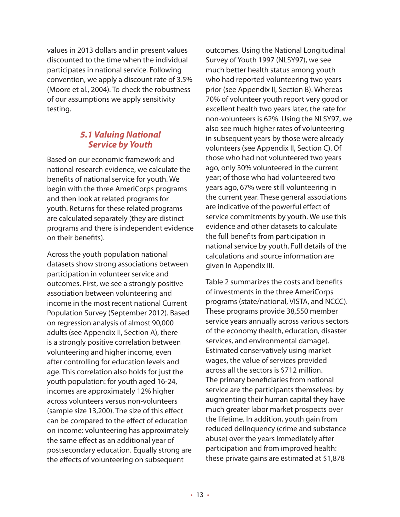values in 2013 dollars and in present values discounted to the time when the individual participates in national service. Following convention, we apply a discount rate of 3.5% (Moore et al., 2004). To check the robustness of our assumptions we apply sensitivity testing.

## *5.1 Valuing National Service by Youth*

Based on our economic framework and national research evidence, we calculate the benefits of national service for youth. We begin with the three AmeriCorps programs and then look at related programs for youth. Returns for these related programs are calculated separately (they are distinct programs and there is independent evidence on their benefits).

Across the youth population national datasets show strong associations between participation in volunteer service and outcomes. First, we see a strongly positive association between volunteering and income in the most recent national Current Population Survey (September 2012). Based on regression analysis of almost 90,000 adults (see Appendix II, Section A), there is a strongly positive correlation between volunteering and higher income, even after controlling for education levels and age. This correlation also holds for just the youth population: for youth aged 16-24, incomes are approximately 12% higher across volunteers versus non-volunteers (sample size 13,200). The size of this effect can be compared to the effect of education on income: volunteering has approximately the same effect as an additional year of postsecondary education. Equally strong are the effects of volunteering on subsequent

outcomes. Using the National Longitudinal Survey of Youth 1997 (NLSY97), we see much better health status among youth who had reported volunteering two years prior (see Appendix II, Section B). Whereas 70% of volunteer youth report very good or excellent health two years later, the rate for non-volunteers is 62%. Using the NLSY97, we also see much higher rates of volunteering in subsequent years by those were already volunteers (see Appendix II, Section C). Of those who had not volunteered two years ago, only 30% volunteered in the current year; of those who had volunteered two years ago, 67% were still volunteering in the current year. These general associations are indicative of the powerful effect of service commitments by youth. We use this evidence and other datasets to calculate the full benefits from participation in national service by youth. Full details of the calculations and source information are given in Appendix III.

Table 2 summarizes the costs and benefits of investments in the three AmeriCorps programs (state/national, VISTA, and NCCC). These programs provide 38,550 member service years annually across various sectors of the economy (health, education, disaster services, and environmental damage). Estimated conservatively using market wages, the value of services provided across all the sectors is \$712 million. The primary beneficiaries from national service are the participants themselves: by augmenting their human capital they have much greater labor market prospects over the lifetime. In addition, youth gain from reduced delinquency (crime and substance abuse) over the years immediately after participation and from improved health: these private gains are estimated at \$1,878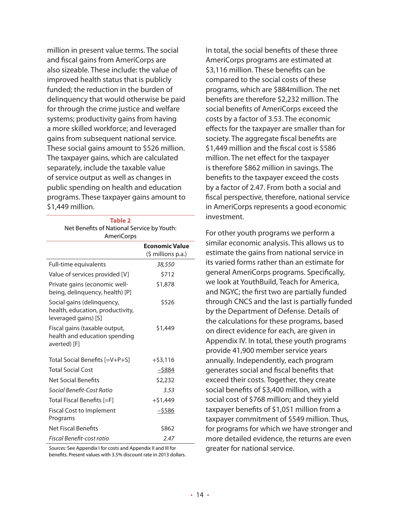million in present value terms. The social and fiscal gains from AmeriCorps are also sizeable. These include: the value of improved health status that is publicly funded; the reduction in the burden of delinquency that would otherwise be paid for through the crime justice and welfare systems; productivity gains from having a more skilled workforce; and leveraged gains from subsequent national service. These social gains amount to \$526 million. The taxpayer gains, which are calculated separately, include the taxable value of service output as well as changes in public spending on health and education programs. These taxpayer gains amount to \$1,449 million.

> **Table 2** Net Benefits of National Service by Youth:

| <b>AmeriCorps</b>                                                                      |                                             |
|----------------------------------------------------------------------------------------|---------------------------------------------|
|                                                                                        | <b>Economic Value</b><br>(\$ millions p.a.) |
| Full-time equivalents                                                                  | 38,550                                      |
| Value of services provided [V]                                                         | \$712                                       |
| Private gains (economic well-<br>being, delinquency, health) [P]                       | \$1,878                                     |
| Social gains (delinquency,<br>health, education, productivity,<br>leveraged gains) [S] | \$526                                       |
| Fiscal gains (taxable output,<br>health and education spending<br>averted) [F]         | \$1,449                                     |
| Total Social Benefits [=V+P+S]                                                         | $+ $3,116$                                  |
| <b>Total Social Cost</b>                                                               | $-5884$                                     |
| <b>Net Social Benefits</b>                                                             | \$2,232                                     |
| Social Benefit-Cost Ratio                                                              | 3.53                                        |
| Total Fiscal Benefits [=F]                                                             | $+51.449$                                   |
| <b>Fiscal Cost to Implement</b><br>Programs                                            | <u>–\$586</u>                               |
| Net Fiscal Benefits                                                                    | \$862                                       |
| Fiscal Benefit-cost ratio                                                              | 2.47                                        |

*Sources:* See Appendix I for costs and Appendix II and III for benefits. Present values with 3.5% discount rate in 2013 dollars. In total, the social benefits of these three AmeriCorps programs are estimated at \$3,116 million. These benefits can be compared to the social costs of these programs, which are \$884million. The net benefits are therefore \$2,232 million. The social benefits of AmeriCorps exceed the costs by a factor of 3.53. The economic effects for the taxpayer are smaller than for society. The aggregate fiscal benefits are \$1,449 million and the fiscal cost is \$586 million. The net effect for the taxpayer is therefore \$862 million in savings. The benefits to the taxpayer exceed the costs by a factor of 2.47. From both a social and fiscal perspective, therefore, national service in AmeriCorps represents a good economic investment.

For other youth programs we perform a similar economic analysis. This allows us to estimate the gains from national service in its varied forms rather than an estimate for general AmeriCorps programs. Specifically, we look at YouthBuild, Teach for America, and NGYC; the first two are partially funded through CNCS and the last is partially funded by the Department of Defense. Details of the calculations for these programs, based on direct evidence for each, are given in Appendix IV. In total, these youth programs provide 41,900 member service years annually. Independently, each program generates social and fiscal benefits that exceed their costs. Together, they create social benefits of \$3,400 million, with a social cost of \$768 million; and they yield taxpayer benefits of \$1,051 million from a taxpayer commitment of \$549 million. Thus, for programs for which we have stronger and more detailed evidence, the returns are even greater for national service.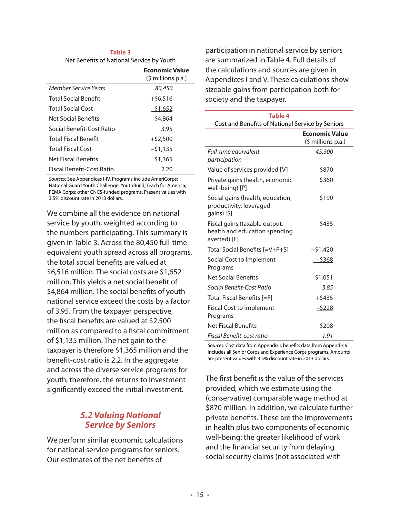| Table 3<br>Net Benefits of National Service by Youth |                                                        |
|------------------------------------------------------|--------------------------------------------------------|
|                                                      | <b>Economic Value</b><br>$(\frac{1}{2} millions p.a.)$ |
| Member Service Years                                 | 80,450                                                 |
| <b>Total Social Benefit</b>                          | $+$ \$6,516                                            |
| <b>Total Social Cost</b>                             | $-51,652$                                              |
| Net Social Benefits                                  | \$4,864                                                |
| Social Benefit-Cost Ratio                            | 3.95                                                   |
| <b>Total Fiscal Benefit</b>                          | $+$ \$2,500                                            |
| <b>Total Fiscal Cost</b>                             | $-51,135$                                              |
| Net Fiscal Benefits                                  | \$1,365                                                |
| Fiscal Benefit-Cost Ratio                            | 2.20                                                   |

*Sources:* See Appendices I-IV. Programs include AmeriCorps; National Guard Youth Challenge; YouthBuild; Teach for America; FEMA Corps; other CNCS-funded programs. Present values with 3.5% discount rate in 2013 dollars.

We combine all the evidence on national service by youth, weighted according to the numbers participating. This summary is given in Table 3. Across the 80,450 full-time equivalent youth spread across all programs, the total social benefits are valued at \$6,516 million. The social costs are \$1,652 million. This yields a net social benefit of \$4,864 million. The social benefits of youth national service exceed the costs by a factor of 3.95. From the taxpayer perspective, the fiscal benefits are valued at \$2,500 million as compared to a fiscal commitment of \$1,135 million. The net gain to the taxpayer is therefore \$1,365 million and the benefit-cost ratio is 2.2. In the aggregate and across the diverse service programs for youth, therefore, the returns to investment significantly exceed the initial investment.

## *5.2 Valuing National Service by Seniors*

We perform similar economic calculations for national service programs for seniors. Our estimates of the net benefits of

participation in national service by seniors are summarized in Table 4. Full details of the calculations and sources are given in Appendices I and V. These calculations show sizeable gains from participation both for society and the taxpayer.

| Table 4<br>Cost and Benefits of National Service by Seniors                    |                       |  |  |  |
|--------------------------------------------------------------------------------|-----------------------|--|--|--|
|                                                                                |                       |  |  |  |
|                                                                                | <b>Economic Value</b> |  |  |  |
|                                                                                | (\$ millions p.a.)    |  |  |  |
| Full-time equivalent                                                           | 45,300                |  |  |  |
| participation                                                                  |                       |  |  |  |
| Value of services provided [V]                                                 | \$870                 |  |  |  |
| Private gains (health, economic<br>well-being) [P]                             | \$360                 |  |  |  |
| Social gains (health, education,<br>productivity, leveraged<br>gains) [S]      | \$190                 |  |  |  |
| Fiscal gains (taxable output,<br>health and education spending<br>averted) [F] | \$435                 |  |  |  |
| Total Social Benefits [=V+P+S]                                                 | $+$ \$1,420           |  |  |  |
| Social Cost to Implement<br>Programs                                           | $-$ \$368             |  |  |  |
| Net Social Benefits                                                            | \$1,051               |  |  |  |
| Social Benefit-Cost Ratio                                                      | 3.85                  |  |  |  |
| Total Fiscal Benefits [=F]                                                     | $+$ \$435             |  |  |  |
| Fiscal Cost to Implement<br>Programs                                           | $-5228$               |  |  |  |
| Net Fiscal Benefits                                                            | \$208                 |  |  |  |
| Fiscal Benefit-cost ratio                                                      | 1.91                  |  |  |  |

*Sources:* Cost data from Appendix I; benefits data from Appendix V. Includes all Senior Corps and Experience Corps programs. Amounts are present values with 3.5% discount rate in 2013 dollars.

The first benefit is the value of the services provided, which we estimate using the (conservative) comparable wage method at \$870 million. In addition, we calculate further private benefits. These are the improvements in health plus two components of economic well-being: the greater likelihood of work and the financial security from delaying social security claims (not associated with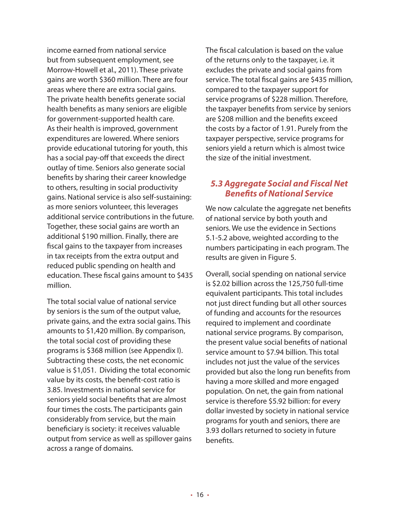income earned from national service but from subsequent employment, see Morrow-Howell et al., 2011). These private gains are worth \$360 million. There are four areas where there are extra social gains. The private health benefits generate social health benefits as many seniors are eligible for government-supported health care. As their health is improved, government expenditures are lowered. Where seniors provide educational tutoring for youth, this has a social pay-off that exceeds the direct outlay of time. Seniors also generate social benefits by sharing their career knowledge to others, resulting in social productivity gains. National service is also self-sustaining: as more seniors volunteer, this leverages additional service contributions in the future. Together, these social gains are worth an additional \$190 million. Finally, there are fiscal gains to the taxpayer from increases in tax receipts from the extra output and reduced public spending on health and education. These fiscal gains amount to \$435 million.

The total social value of national service by seniors is the sum of the output value, private gains, and the extra social gains. This amounts to \$1,420 million. By comparison, the total social cost of providing these programs is \$368 million (see Appendix I). Subtracting these costs, the net economic value is \$1,051. Dividing the total economic value by its costs, the benefit-cost ratio is 3.85. Investments in national service for seniors yield social benefits that are almost four times the costs. The participants gain considerably from service, but the main beneficiary is society: it receives valuable output from service as well as spillover gains across a range of domains.

The fiscal calculation is based on the value of the returns only to the taxpayer, i.e. it excludes the private and social gains from service. The total fiscal gains are \$435 million, compared to the taxpayer support for service programs of \$228 million. Therefore, the taxpayer benefits from service by seniors are \$208 million and the benefits exceed the costs by a factor of 1.91. Purely from the taxpayer perspective, service programs for seniors yield a return which is almost twice the size of the initial investment.

## *5.3 Aggregate Social and Fiscal Net Benefits of National Service*

We now calculate the aggregate net benefits of national service by both youth and seniors. We use the evidence in Sections 5.1-5.2 above, weighted according to the numbers participating in each program. The results are given in Figure 5.

Overall, social spending on national service is \$2.02 billion across the 125,750 full-time equivalent participants. This total includes not just direct funding but all other sources of funding and accounts for the resources required to implement and coordinate national service programs. By comparison, the present value social benefits of national service amount to \$7.94 billion. This total includes not just the value of the services provided but also the long run benefits from having a more skilled and more engaged population. On net, the gain from national service is therefore \$5.92 billion: for every dollar invested by society in national service programs for youth and seniors, there are 3.93 dollars returned to society in future benefits.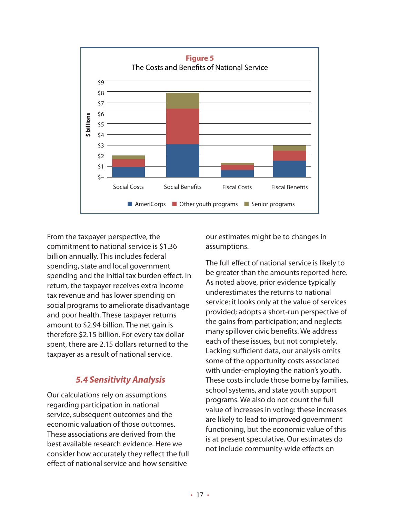

From the taxpayer perspective, the commitment to national service is \$1.36 billion annually. This includes federal spending, state and local government spending and the initial tax burden effect. In return, the taxpayer receives extra income tax revenue and has lower spending on social programs to ameliorate disadvantage and poor health. These taxpayer returns amount to \$2.94 billion. The net gain is therefore \$2.15 billion. For every tax dollar spent, there are 2.15 dollars returned to the taxpayer as a result of national service.

## *5.4 Sensitivity Analysis*

Our calculations rely on assumptions regarding participation in national service, subsequent outcomes and the economic valuation of those outcomes. These associations are derived from the best available research evidence. Here we consider how accurately they reflect the full effect of national service and how sensitive

our estimates might be to changes in assumptions.

The full effect of national service is likely to be greater than the amounts reported here. As noted above, prior evidence typically underestimates the returns to national service: it looks only at the value of services provided; adopts a short-run perspective of the gains from participation; and neglects many spillover civic benefits. We address each of these issues, but not completely. Lacking sufficient data, our analysis omits some of the opportunity costs associated with under-employing the nation's youth. These costs include those borne by families, school systems, and state youth support programs. We also do not count the full value of increases in voting: these increases are likely to lead to improved government functioning, but the economic value of this is at present speculative. Our estimates do not include community-wide effects on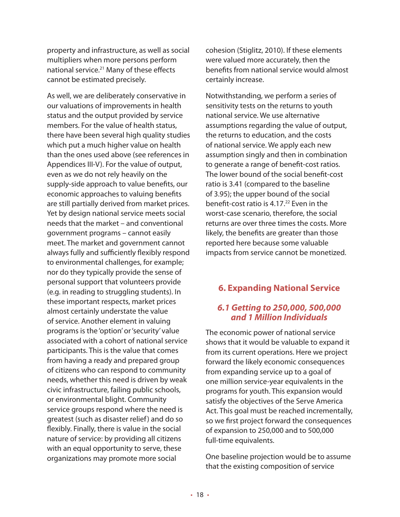property and infrastructure, as well as social multipliers when more persons perform national service.<sup>21</sup> Many of these effects cannot be estimated precisely.

As well, we are deliberately conservative in our valuations of improvements in health status and the output provided by service members. For the value of health status, there have been several high quality studies which put a much higher value on health than the ones used above (see references in Appendices III-V). For the value of output, even as we do not rely heavily on the supply-side approach to value benefits, our economic approaches to valuing benefits are still partially derived from market prices. Yet by design national service meets social needs that the market – and conventional government programs – cannot easily meet. The market and government cannot always fully and sufficiently flexibly respond to environmental challenges, for example; nor do they typically provide the sense of personal support that volunteers provide (e.g. in reading to struggling students). In these important respects, market prices almost certainly understate the value of service. Another element in valuing programs is the 'option' or 'security' value associated with a cohort of national service participants. This is the value that comes from having a ready and prepared group of citizens who can respond to community needs, whether this need is driven by weak civic infrastructure, failing public schools, or environmental blight. Community service groups respond where the need is greatest (such as disaster relief) and do so flexibly. Finally, there is value in the social nature of service: by providing all citizens with an equal opportunity to serve, these organizations may promote more social

cohesion (Stiglitz, 2010). If these elements were valued more accurately, then the benefits from national service would almost certainly increase.

Notwithstanding, we perform a series of sensitivity tests on the returns to youth national service. We use alternative assumptions regarding the value of output, the returns to education, and the costs of national service. We apply each new assumption singly and then in combination to generate a range of benefit-cost ratios. The lower bound of the social benefit-cost ratio is 3.41 (compared to the baseline of 3.95); the upper bound of the social benefit-cost ratio is  $4.17<sup>22</sup>$  Even in the worst-case scenario, therefore, the social returns are over three times the costs. More likely, the benefits are greater than those reported here because some valuable impacts from service cannot be monetized.

## **6. Expanding National Service**

## *6.1 Getting to 250,000, 500,000 and 1 Million Individuals*

The economic power of national service shows that it would be valuable to expand it from its current operations. Here we project forward the likely economic consequences from expanding service up to a goal of one million service-year equivalents in the programs for youth. This expansion would satisfy the objectives of the Serve America Act. This goal must be reached incrementally, so we first project forward the consequences of expansion to 250,000 and to 500,000 full-time equivalents.

One baseline projection would be to assume that the existing composition of service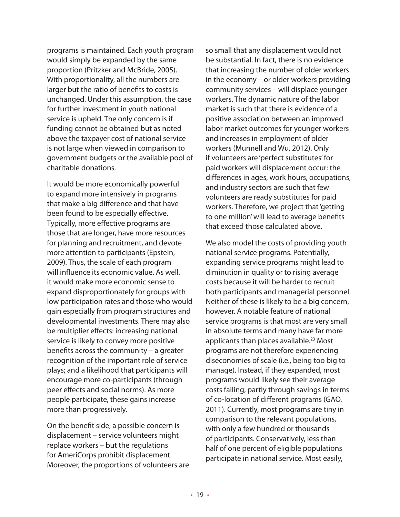programs is maintained. Each youth program would simply be expanded by the same proportion (Pritzker and McBride, 2005). With proportionality, all the numbers are larger but the ratio of benefits to costs is unchanged. Under this assumption, the case for further investment in youth national service is upheld. The only concern is if funding cannot be obtained but as noted above the taxpayer cost of national service is not large when viewed in comparison to government budgets or the available pool of charitable donations.

It would be more economically powerful to expand more intensively in programs that make a big difference and that have been found to be especially effective. Typically, more effective programs are those that are longer, have more resources for planning and recruitment, and devote more attention to participants (Epstein, 2009). Thus, the scale of each program will influence its economic value. As well, it would make more economic sense to expand disproportionately for groups with low participation rates and those who would gain especially from program structures and developmental investments. There may also be multiplier effects: increasing national service is likely to convey more positive benefits across the community – a greater recognition of the important role of service plays; and a likelihood that participants will encourage more co-participants (through peer effects and social norms). As more people participate, these gains increase more than progressively.

On the benefit side, a possible concern is displacement – service volunteers might replace workers – but the regulations for AmeriCorps prohibit displacement. Moreover, the proportions of volunteers are so small that any displacement would not be substantial. In fact, there is no evidence that increasing the number of older workers in the economy – or older workers providing community services – will displace younger workers. The dynamic nature of the labor market is such that there is evidence of a positive association between an improved labor market outcomes for younger workers and increases in employment of older workers (Munnell and Wu, 2012). Only if volunteers are 'perfect substitutes' for paid workers will displacement occur: the differences in ages, work hours, occupations, and industry sectors are such that few volunteers are ready substitutes for paid workers. Therefore, we project that 'getting to one million' will lead to average benefits that exceed those calculated above.

We also model the costs of providing youth national service programs. Potentially, expanding service programs might lead to diminution in quality or to rising average costs because it will be harder to recruit both participants and managerial personnel. Neither of these is likely to be a big concern, however. A notable feature of national service programs is that most are very small in absolute terms and many have far more applicants than places available.<sup>23</sup> Most programs are not therefore experiencing diseconomies of scale (i.e., being too big to manage). Instead, if they expanded, most programs would likely see their average costs falling, partly through savings in terms of co-location of different programs (GAO, 2011). Currently, most programs are tiny in comparison to the relevant populations, with only a few hundred or thousands of participants. Conservatively, less than half of one percent of eligible populations participate in national service. Most easily,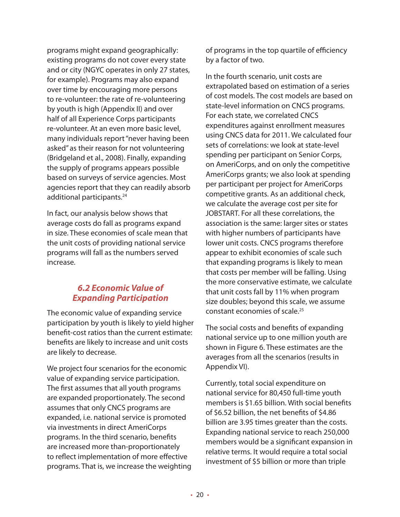programs might expand geographically: existing programs do not cover every state and or city (NGYC operates in only 27 states, for example). Programs may also expand over time by encouraging more persons to re-volunteer: the rate of re-volunteering by youth is high (Appendix II) and over half of all Experience Corps participants re-volunteer. At an even more basic level, many individuals report "never having been asked" as their reason for not volunteering (Bridgeland et al., 2008). Finally, expanding the supply of programs appears possible based on surveys of service agencies. Most agencies report that they can readily absorb additional participants.<sup>24</sup>

In fact, our analysis below shows that average costs do fall as programs expand in size. These economies of scale mean that the unit costs of providing national service programs will fall as the numbers served increase.

## *6.2 Economic Value of Expanding Participation*

The economic value of expanding service participation by youth is likely to yield higher benefit-cost ratios than the current estimate: benefits are likely to increase and unit costs are likely to decrease.

We project four scenarios for the economic value of expanding service participation. The first assumes that all youth programs are expanded proportionately. The second assumes that only CNCS programs are expanded, i.e. national service is promoted via investments in direct AmeriCorps programs. In the third scenario, benefits are increased more than-proportionately to reflect implementation of more effective programs. That is, we increase the weighting of programs in the top quartile of efficiency by a factor of two.

In the fourth scenario, unit costs are extrapolated based on estimation of a series of cost models. The cost models are based on state-level information on CNCS programs. For each state, we correlated CNCS expenditures against enrollment measures using CNCS data for 2011. We calculated four sets of correlations: we look at state-level spending per participant on Senior Corps, on AmeriCorps, and on only the competitive AmeriCorps grants; we also look at spending per participant per project for AmeriCorps competitive grants. As an additional check, we calculate the average cost per site for JOBSTART. For all these correlations, the association is the same: larger sites or states with higher numbers of participants have lower unit costs. CNCS programs therefore appear to exhibit economies of scale such that expanding programs is likely to mean that costs per member will be falling. Using the more conservative estimate, we calculate that unit costs fall by 11% when program size doubles; beyond this scale, we assume constant economies of scale.25

The social costs and benefits of expanding national service up to one million youth are shown in Figure 6. These estimates are the averages from all the scenarios (results in Appendix VI).

Currently, total social expenditure on national service for 80,450 full-time youth members is \$1.65 billion. With social benefits of \$6.52 billion, the net benefits of \$4.86 billion are 3.95 times greater than the costs. Expanding national service to reach 250,000 members would be a significant expansion in relative terms. It would require a total social investment of \$5 billion or more than triple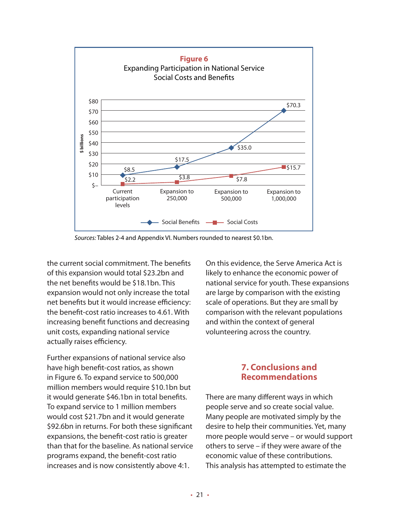

*Sources:* Tables 2-4 and Appendix VI. Numbers rounded to nearest \$0.1bn.

the current social commitment. The benefits of this expansion would total \$23.2bn and the net benefits would be \$18.1bn. This expansion would not only increase the total net benefits but it would increase efficiency: the benefit-cost ratio increases to 4.61. With increasing benefit functions and decreasing unit costs, expanding national service actually raises efficiency.

Further expansions of national service also have high benefit-cost ratios, as shown in Figure 6. To expand service to 500,000 million members would require \$10.1bn but it would generate \$46.1bn in total benefits. To expand service to 1 million members would cost \$21.7bn and it would generate \$92.6bn in returns. For both these significant expansions, the benefit-cost ratio is greater than that for the baseline. As national service programs expand, the benefit-cost ratio increases and is now consistently above 4:1.

On this evidence, the Serve America Act is likely to enhance the economic power of national service for youth. These expansions are large by comparison with the existing scale of operations. But they are small by comparison with the relevant populations and within the context of general volunteering across the country.

## **7. Conclusions and Recommendations**

There are many different ways in which people serve and so create social value. Many people are motivated simply by the desire to help their communities. Yet, many more people would serve – or would support others to serve – if they were aware of the economic value of these contributions. This analysis has attempted to estimate the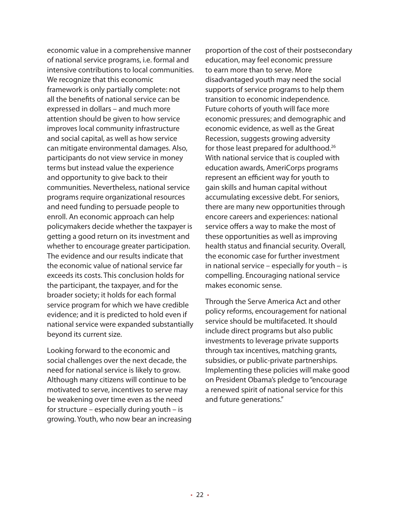economic value in a comprehensive manner of national service programs, i.e. formal and intensive contributions to local communities. We recognize that this economic framework is only partially complete: not all the benefits of national service can be expressed in dollars – and much more attention should be given to how service improves local community infrastructure and social capital, as well as how service can mitigate environmental damages. Also, participants do not view service in money terms but instead value the experience and opportunity to give back to their communities. Nevertheless, national service programs require organizational resources and need funding to persuade people to enroll. An economic approach can help policymakers decide whether the taxpayer is getting a good return on its investment and whether to encourage greater participation. The evidence and our results indicate that the economic value of national service far exceeds its costs. This conclusion holds for the participant, the taxpayer, and for the broader society; it holds for each formal service program for which we have credible evidence; and it is predicted to hold even if national service were expanded substantially beyond its current size.

Looking forward to the economic and social challenges over the next decade, the need for national service is likely to grow. Although many citizens will continue to be motivated to serve, incentives to serve may be weakening over time even as the need for structure – especially during youth – is growing. Youth, who now bear an increasing proportion of the cost of their postsecondary education, may feel economic pressure to earn more than to serve. More disadvantaged youth may need the social supports of service programs to help them transition to economic independence. Future cohorts of youth will face more economic pressures; and demographic and economic evidence, as well as the Great Recession, suggests growing adversity for those least prepared for adulthood.<sup>26</sup> With national service that is coupled with education awards, AmeriCorps programs represent an efficient way for youth to gain skills and human capital without accumulating excessive debt. For seniors, there are many new opportunities through encore careers and experiences: national service offers a way to make the most of these opportunities as well as improving health status and financial security. Overall, the economic case for further investment in national service – especially for youth – is compelling. Encouraging national service makes economic sense.

Through the Serve America Act and other policy reforms, encouragement for national service should be multifaceted. It should include direct programs but also public investments to leverage private supports through tax incentives, matching grants, subsidies, or public-private partnerships. Implementing these policies will make good on President Obama's pledge to "encourage a renewed spirit of national service for this and future generations."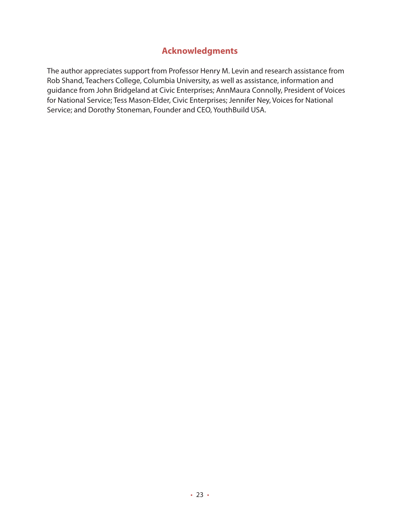## **Acknowledgments**

The author appreciates support from Professor Henry M. Levin and research assistance from Rob Shand, Teachers College, Columbia University, as well as assistance, information and guidance from John Bridgeland at Civic Enterprises; AnnMaura Connolly, President of Voices for National Service; Tess Mason-Elder, Civic Enterprises; Jennifer Ney, Voices for National Service; and Dorothy Stoneman, Founder and CEO, YouthBuild USA.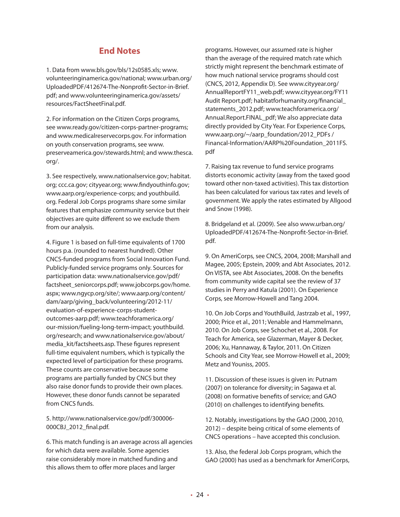### **End Notes**

1. Data from www.bls.gov/bls/12s0585.xls; www. volunteeringinamerica.gov/national; www.urban.org/ UploadedPDF/412674-The-Nonprofit-Sector-in-Brief. pdf; and www.volunteeringinamerica.gov/assets/ resources/FactSheetFinal.pdf.

2. For information on the Citizen Corps programs, see www.ready.gov/citizen-corps-partner-programs; and www.medicalreservecorps.gov. For information on youth conservation programs, see www. preserveamerica.gov/stewards.html; and www.thesca. org/.

3. See respectively, www.nationalservice.gov; habitat. org; ccc.ca.gov; cityyear.org; www.findyouthinfo.gov; www.aarp.org/experience-corps; and youthbuild. org. Federal Job Corps programs share some similar features that emphasize community service but their objectives are quite different so we exclude them from our analysis.

4. Figure 1 is based on full-time equivalents of 1700 hours p.a. (rounded to nearest hundred). Other CNCS-funded programs from Social Innovation Fund. Publicly-funded service programs only. Sources for participation data: www.nationalservice.gov/pdf/ factsheet seniorcorps.pdf; www.jobcorps.gov/home. aspx; www.ngycp.org/site/; www.aarp.org/content/ dam/aarp/giving\_back/volunteering/2012-11/ evaluation-of-experience-corps-studentoutcomes-aarp.pdf; www.teachforamerica.org/ our-mission/fueling-long-term-impact; youthbuild. org/research; and www.nationalservice.gov/about/ media\_kit/factsheets.asp. These figures represent full-time equivalent numbers, which is typically the expected level of participation for these programs. These counts are conservative because some programs are partially funded by CNCS but they also raise donor funds to provide their own places. However, these donor funds cannot be separated from CNCS funds.

5. http://www.nationalservice.gov/pdf/300006- 000CBJ\_2012\_final.pdf.

6. This match funding is an average across all agencies for which data were available. Some agencies raise considerably more in matched funding and this allows them to offer more places and larger

programs. However, our assumed rate is higher than the average of the required match rate which strictly might represent the benchmark estimate of how much national service programs should cost (CNCS, 2012, Appendix D). See www.cityyear.org/ AnnualReportFY11\_web.pdf; www.cityyear.org/FY11 Audit Report.pdf; habitatforhumanity.org/financial\_ statements\_2012.pdf; www.teachforamerica.org/ Annual.Report.FINAL\_pdf; We also appreciate data directly provided by City Year. For Experience Corps, www.aarp.org/~/aarp\_foundation/2012\_PDFs / Financal-Information/AARP%20Foundation\_2011FS. pdf

7. Raising tax revenue to fund service programs distorts economic activity (away from the taxed good toward other non-taxed activities). This tax distortion has been calculated for various tax rates and levels of government. We apply the rates estimated by Allgood and Snow (1998).

8. Bridgeland et al. (2009). See also www.urban.org/ UploadedPDF/412674-The-Nonprofit-Sector-in-Brief. pdf.

9. On AmeriCorps, see CNCS, 2004, 2008; Marshall and Magee, 2005; Epstein, 2009; and Abt Associates, 2012. On VISTA, see Abt Associates, 2008. On the benefits from community wide capital see the review of 37 studies in Perry and Katula (2001). On Experience Corps, see Morrow-Howell and Tang 2004.

10. On Job Corps and YouthBuild, Jastrzab et al., 1997, 2000; Price et al., 2011; Venable and Hammelmann, 2010. On Job Corps, see Schochet et al., 2008. For Teach for America, see Glazerman, Mayer & Decker, 2006; Xu, Hannaway, & Taylor, 2011. On Citizen Schools and City Year, see Morrow-Howell et al., 2009; Metz and Youniss, 2005.

11. Discussion of these issues is given in: Putnam (2007) on tolerance for diversity; in Sagawa et al. (2008) on formative benefits of service; and GAO (2010) on challenges to identifying benefits.

12. Notably, investigations by the GAO (2000, 2010, 2012) – despite being critical of some elements of CNCS operations – have accepted this conclusion.

13. Also, the federal Job Corps program, which the GAO (2000) has used as a benchmark for AmeriCorps,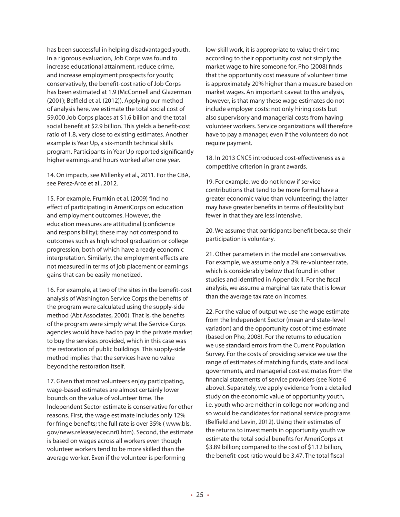has been successful in helping disadvantaged youth. In a rigorous evaluation, Job Corps was found to increase educational attainment, reduce crime, and increase employment prospects for youth; conservatively, the benefit-cost ratio of Job Corps has been estimated at 1.9 (McConnell and Glazerman (2001); Belfield et al. (2012)). Applying our method of analysis here, we estimate the total social cost of 59,000 Job Corps places at \$1.6 billion and the total social benefit at \$2.9 billion. This yields a benefit-cost ratio of 1.8, very close to existing estimates. Another example is Year Up, a six-month technical skills program. Participants in Year Up reported significantly higher earnings and hours worked after one year.

14. On impacts, see Millenky et al., 2011. For the CBA, see Perez-Arce et al., 2012.

15. For example, Frumkin et al. (2009) find no effect of participating in AmeriCorps on education and employment outcomes. However, the education measures are attitudinal (confidence and responsibility); these may not correspond to outcomes such as high school graduation or college progression, both of which have a ready economic interpretation. Similarly, the employment effects are not measured in terms of job placement or earnings gains that can be easily monetized.

16. For example, at two of the sites in the benefit-cost analysis of Washington Service Corps the benefits of the program were calculated using the supply-side method (Abt Associates, 2000). That is, the benefits of the program were simply what the Service Corps agencies would have had to pay in the private market to buy the services provided, which in this case was the restoration of public buildings. This supply-side method implies that the services have no value beyond the restoration itself.

17. Given that most volunteers enjoy participating, wage-based estimates are almost certainly lower bounds on the value of volunteer time. The Independent Sector estimate is conservative for other reasons. First, the wage estimate includes only 12% for fringe benefits; the full rate is over 35% ( www.bls. gov/news.release/ecec.nr0.htm). Second, the estimate is based on wages across all workers even though volunteer workers tend to be more skilled than the average worker. Even if the volunteer is performing

low-skill work, it is appropriate to value their time according to their opportunity cost not simply the market wage to hire someone for. Pho (2008) finds that the opportunity cost measure of volunteer time is approximately 20% higher than a measure based on market wages. An important caveat to this analysis, however, is that many these wage estimates do not include employer costs: not only hiring costs but also supervisory and managerial costs from having volunteer workers. Service organizations will therefore have to pay a manager, even if the volunteers do not require payment.

18. In 2013 CNCS introduced cost-effectiveness as a competitive criterion in grant awards.

19. For example, we do not know if service contributions that tend to be more formal have a greater economic value than volunteering; the latter may have greater benefits in terms of flexibility but fewer in that they are less intensive.

20. We assume that participants benefit because their participation is voluntary.

21. Other parameters in the model are conservative. For example, we assume only a 2% re-volunteer rate, which is considerably below that found in other studies and identified in Appendix II. For the fiscal analysis, we assume a marginal tax rate that is lower than the average tax rate on incomes.

22. For the value of output we use the wage estimate from the Independent Sector (mean and state-level variation) and the opportunity cost of time estimate (based on Pho, 2008). For the returns to education we use standard errors from the Current Population Survey. For the costs of providing service we use the range of estimates of matching funds, state and local governments, and managerial cost estimates from the financial statements of service providers (see Note 6 above). Separately, we apply evidence from a detailed study on the economic value of opportunity youth, i.e. youth who are neither in college nor working and so would be candidates for national service programs (Belfield and Levin, 2012). Using their estimates of the returns to investments in opportunity youth we estimate the total social benefits for AmeriCorps at \$3.89 billion; compared to the cost of \$1.12 billion, the benefit-cost ratio would be 3.47. The total fiscal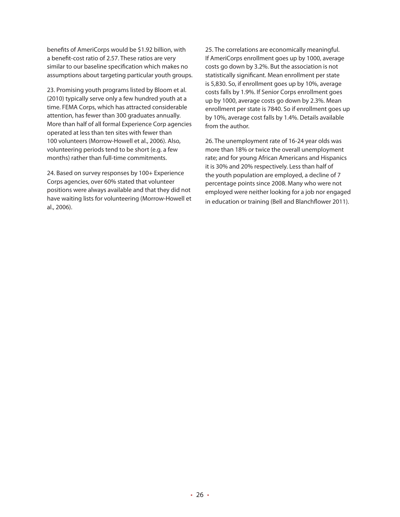benefits of AmeriCorps would be \$1.92 billion, with a benefit-cost ratio of 2.57. These ratios are very similar to our baseline specification which makes no assumptions about targeting particular youth groups.

23. Promising youth programs listed by Bloom et al. (2010) typically serve only a few hundred youth at a time. FEMA Corps, which has attracted considerable attention, has fewer than 300 graduates annually. More than half of all formal Experience Corp agencies operated at less than ten sites with fewer than 100 volunteers (Morrow-Howell et al., 2006). Also, volunteering periods tend to be short (e.g. a few months) rather than full-time commitments.

24. Based on survey responses by 100+ Experience Corps agencies, over 60% stated that volunteer positions were always available and that they did not have waiting lists for volunteering (Morrow-Howell et al., 2006).

25. The correlations are economically meaningful. If AmeriCorps enrollment goes up by 1000, average costs go down by 3.2%. But the association is not statistically significant. Mean enrollment per state is 5,830. So, if enrollment goes up by 10%, average costs falls by 1.9%. If Senior Corps enrollment goes up by 1000, average costs go down by 2.3%. Mean enrollment per state is 7840. So if enrollment goes up by 10%, average cost falls by 1.4%. Details available from the author.

26. The unemployment rate of 16-24 year olds was more than 18% or twice the overall unemployment rate; and for young African Americans and Hispanics it is 30% and 20% respectively. Less than half of the youth population are employed, a decline of 7 percentage points since 2008. Many who were not employed were neither looking for a job nor engaged in education or training (Bell and Blanchflower 2011).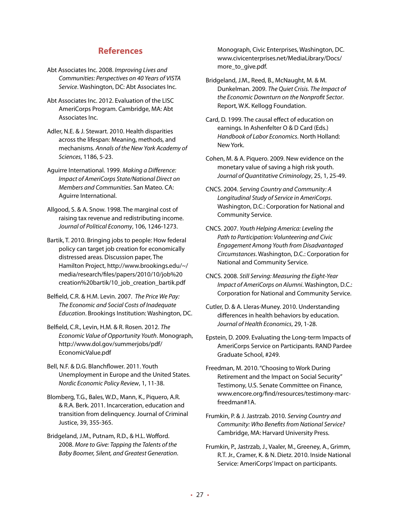## **References**

- Abt Associates Inc. 2008. *Improving Lives and Communities: Perspectives on 40 Years of VISTA Service*. Washington, DC: Abt Associates Inc.
- Abt Associates Inc. 2012. Evaluation of the LISC AmeriCorps Program. Cambridge, MA: Abt Associates Inc.
- Adler, N.E. & J. Stewart. 2010. Health disparities across the lifespan: Meaning, methods, and mechanisms. *Annals of the New York Academy of Sciences*, 1186, 5-23.
- Aguirre International. 1999. *Making a Difference: Impact of AmeriCorps State/National Direct on Members and Communities*. San Mateo. CA: Aguirre International.
- Allgood, S. & A. Snow. 1998. The marginal cost of raising tax revenue and redistributing income. *Journal of Political Economy*, 106, 1246-1273.
- Bartik, T. 2010. Bringing jobs to people: How federal policy can target job creation for economically distressed areas. Discussion paper, The Hamilton Project, http://www.brookings.edu/~/ media/research/files/papers/2010/10/job%20 creation%20bartik/10\_job\_creation\_bartik.pdf
- Belfield, C.R. & H.M. Levin. 2007. *The Price We Pay: The Economic and Social Costs of Inadequate Education*. Brookings Institution: Washington, DC.
- Belfield, C.R., Levin, H.M. & R. Rosen. 2012. *The Economic Value of Opportunity Youth*. Monograph, http://www.dol.gov/summerjobs/pdf/ EconomicValue.pdf
- Bell, N.F. & D.G. Blanchflower. 2011. Youth Unemployment in Europe and the United States. *Nordic Economic Policy Review*, 1, 11-38.
- Blomberg, T.G., Bales, W.D., Mann, K., Piquero, A.R. & R.A. Berk. 2011. Incarceration, education and transition from delinquency. Journal of Criminal Justice, 39, 355-365.
- Bridgeland, J.M., Putnam, R.D., & H.L. Wofford. 2008. *More to Give: Tapping the Talents of the Baby Boomer, Silent, and Greatest Generation*.

Monograph, Civic Enterprises, Washington, DC. www.civicenterprises.net/MediaLibrary/Docs/ more\_to\_give.pdf.

- Bridgeland, J.M., Reed, B., McNaught, M. & M. Dunkelman. 2009. *The Quiet Crisis. The Impact of the Economic Downturn on the Nonprofit Sector*. Report, W.K. Kellogg Foundation.
- Card, D. 1999. The causal effect of education on earnings. In Ashenfelter O & D Card (Eds.) *Handbook of Labor Economics*. North Holland: New York.
- Cohen, M. & A. Piquero. 2009. New evidence on the monetary value of saving a high risk youth. *Journal of Quantitative Criminology*, 25, 1, 25-49.
- CNCS. 2004. *Serving Country and Community: A Longitudinal Study of Service in AmeriCorps*. Washington, D.C.: Corporation for National and Community Service.
- CNCS. 2007. *Youth Helping America: Leveling the Path to Participation: Volunteering and Civic Engagement Among Youth from Disadvantaged Circumstances*. Washington, D.C.: Corporation for National and Community Service.
- CNCS. 2008. *Still Serving: Measuring the Eight-Year Impact of AmeriCorps on Alumni*. Washington, D.C.: Corporation for National and Community Service.
- Cutler, D. & A. Lleras-Muney. 2010. Understanding differences in health behaviors by education. *Journal of Health Economics*, 29, 1-28.
- Epstein, D. 2009. Evaluating the Long-term Impacts of AmeriCorps Service on Participants. RAND Pardee Graduate School, #249.
- Freedman, M. 2010. "Choosing to Work During Retirement and the Impact on Social Security" Testimony, U.S. Senate Committee on Finance, www.encore.org/find/resources/testimony-marcfreedman#1A.
- Frumkin, P. & J. Jastrzab. 2010. *Serving Country and Community: Who Benefits from National Service?* Cambridge, MA: Harvard University Press.
- Frumkin, P., Jastrzab, J., Vaaler, M., Greeney, A., Grimm, R.T. Jr., Cramer, K. & N. Dietz. 2010. Inside National Service: AmeriCorps' Impact on participants.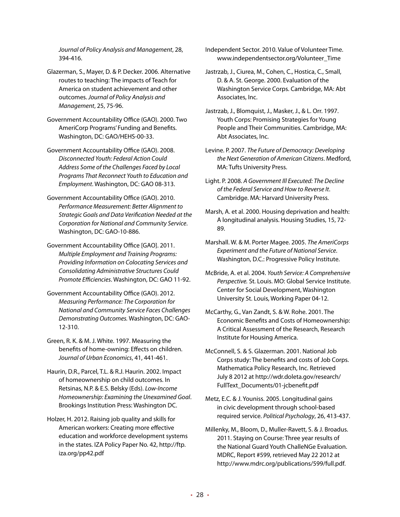*Journal of Policy Analysis and Management*, 28, 394-416.

Glazerman, S., Mayer, D. & P. Decker. 2006. Alternative routes to teaching: The impacts of Teach for America on student achievement and other outcomes. *Journal of Policy Analysis and Management*, 25, 75-96.

Government Accountability Office (GAO). 2000. Two AmeriCorp Programs' Funding and Benefits. Washington, DC: GAO/HEHS-00-33.

Government Accountability Office (GAO). 2008. *Disconnected Youth: Federal Action Could Address Some of the Challenges Faced by Local Programs That Reconnect Youth to Education and Employment*. Washington, DC: GAO 08-313.

Government Accountability Office (GAO). 2010. *Performance Measurement: Better Alignment to Strategic Goals and Data Verification Needed at the Corporation for National and Community Service*. Washington, DC: GAO-10-886.

Government Accountability Office [GAO]. 2011. *Multiple Employment and Training Programs: Providing Information on Colocating Services and Consolidating Administrative Structures Could Promote Efficiencies*. Washington, DC: GAO 11-92.

Government Accountability Office (GAO). 2012. *Measuring Performance: The Corporation for National and Community Service Faces Challenges Demonstrating Outcomes.* Washington, DC: GAO-12-310.

Green, R. K. & M. J. White. 1997. Measuring the benefits of home-owning: Effects on children. *Journal of Urban Economics*, 41, 441-461.

Haurin, D.R., Parcel, T.L. & R.J. Haurin. 2002. Impact of homeownership on child outcomes. In Retsinas, N.P. & E.S. Belsky (Eds). *Low-Income Homeownership: Examining the Unexamined Goal*. Brookings Institution Press: Washington DC.

Holzer, H. 2012. Raising job quality and skills for American workers: Creating more effective education and workforce development systems in the states. IZA Policy Paper No. 42, http://ftp. iza.org/pp42.pdf

Independent Sector. 2010. Value of Volunteer Time. www.independentsector.org/Volunteer\_Time

Jastrzab, J., Ciurea, M., Cohen, C., Hostica, C., Small, D. & A. St. George. 2000. Evaluation of the Washington Service Corps. Cambridge, MA: Abt Associates, Inc.

Jastrzab, J., Blomquist, J., Masker, J., & L. Orr. 1997. Youth Corps: Promising Strategies for Young People and Their Communities. Cambridge, MA: Abt Associates, Inc.

Levine. P. 2007. *The Future of Democracy: Developing the Next Generation of American Citizens*. Medford, MA: Tufts University Press.

Light. P. 2008. *A Government Ill Executed: The Decline of the Federal Service and How to Reverse It*. Cambridge. MA: Harvard University Press.

Marsh, A. et al. 2000. Housing deprivation and health: A longitudinal analysis. Housing Studies, 15, 72- 89.

Marshall. W. & M. Porter Magee. 2005. *The AmeriCorps Experiment and the Future of National Service*. Washington, D.C.: Progressive Policy Institute.

McBride, A. et al. 2004. *Youth Service: A Comprehensive Perspective.* St. Louis. MO: Global Service Institute. Center for Social Development, Washington University St. Louis, Working Paper 04-12.

McCarthy, G., Van Zandt, S. & W. Rohe. 2001. The Economic Benefits and Costs of Homeownership: A Critical Assessment of the Research, Research Institute for Housing America.

McConnell, S. & S. Glazerman. 2001. National Job Corps study: The benefits and costs of Job Corps. Mathematica Policy Research, Inc. Retrieved July 8 2012 at http://wdr.doleta.gov/research/ FullText\_Documents/01-jcbenefit.pdf

Metz, E.C. & J. Youniss. 2005. Longitudinal gains in civic development through school-based required service. *Political Psychology*, 26, 413-437.

Millenky, M., Bloom, D., Muller-Ravett, S. & J. Broadus. 2011. Staying on Course: Three year results of the National Guard Youth ChalleNGe Evaluation. MDRC, Report #599, retrieved May 22 2012 at http://www.mdrc.org/publications/599/full.pdf.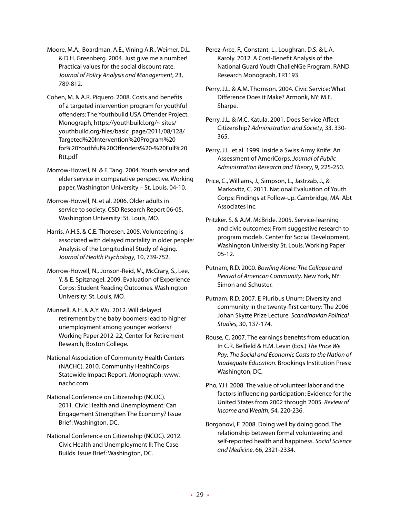Moore, M.A., Boardman, A.E., Vining A.R., Weimer, D.L. & D.H. Greenberg. 2004. Just give me a number! Practical values for the social discount rate. *Journal of Policy Analysis and Management*, 23, 789-812.

Cohen, M. & A.R. Piquero. 2008. Costs and benefits of a targeted intervention program for youthful offenders: The Youthbuild USA Offender Project. Monograph, https://youthbuild.org/~ sites/ youthbuild.org/files/basic\_page/2011/08/128/ Targeted%20Intervention%20Program%20 for%20Youthful%20Offenders%20-%20Full%20 Rtt.pdf

Morrow-Howell, N. & F. Tang. 2004. Youth service and elder service in comparative perspective. Working paper, Washington University – St. Louis, 04-10.

Morrow-Howell, N. et al. 2006. Older adults in service to society. CSD Research Report 06-05, Washington University: St. Louis, MO.

Harris, A.H.S. & C.E. Thoresen. 2005. Volunteering is associated with delayed mortality in older people: Analysis of the Longitudinal Study of Aging. *Journal of Health Psychology*, 10, 739-752.

Morrow-Howell, N., Jonson-Reid, M., McCrary, S., Lee, Y. & E. Spitznagel. 2009. Evaluation of Experience Corps: Student Reading Outcomes. Washington University: St. Louis, MO.

Munnell, A.H. & A.Y. Wu. 2012. Will delayed retirement by the baby boomers lead to higher unemployment among younger workers? Working Paper 2012-22, Center for Retirement Research, Boston College.

National Association of Community Health Centers (NACHC). 2010. Community HealthCorps Statewide Impact Report. Monograph: www. nachc.com.

National Conference on Citizenship (NCOC). 2011. Civic Health and Unemployment: Can Engagement Strengthen The Economy? Issue Brief: Washington, DC.

National Conference on Citizenship (NCOC). 2012. Civic Health and Unemployment II: The Case Builds. Issue Brief: Washington, DC.

Perez-Arce, F., Constant, L., Loughran, D.S. & L.A. Karoly. 2012. A Cost-Benefit Analysis of the National Guard Youth ChalleNGe Program. RAND Research Monograph, TR1193.

Perry, J.L. & A.M. Thomson. 2004. Civic Service: What Difference Does it Make? Armonk, NY: M.E. Sharpe.

Perry, J.L. & M.C. Katula. 2001. Does Service Affect Citizenship? *Administration and Society*, 33, 330- 365.

Perry, J.L. et al. 1999. Inside a Swiss Army Knife: An Assessment of AmeriCorps. *Journal of Public Administration Research and Theory*, 9, 225-250.

Price, C., Williams, J., Simpson, L., Jastrzab, J., & Markovitz, C. 2011. National Evaluation of Youth Corps: Findings at Follow-up. Cambridge, MA: Abt Associates Inc.

Pritzker. S. & A.M. McBride. 2005. Service-learning and civic outcomes: From suggestive research to program models. Center for Social Development, Washington University St. Louis, Working Paper 05-12.

Putnam, R.D. 2000. *Bowling Alone: The Collapse and Revival of American Community*. New York, NY: Simon and Schuster.

Putnam. R.D. 2007. E Pluribus Unum: Diversity and community in the twenty-first century: The 2006 Johan Skytte Prize Lecture. *Scandinavian Political Studies*, 30, 137-174.

Rouse, C. 2007. The earnings benefits from education. In C.R. Belfield & H.M. Levin (Eds.) *The Price We Pay: The Social and Economic Costs to the Nation of Inadequate Education*. Brookings Institution Press: Washington, DC.

Pho, Y.H. 2008. The value of volunteer labor and the factors influencing participation: Evidence for the United States from 2002 through 2005. *Review of Income and Wealth*, 54, 220-236.

Borgonovi, F. 2008. Doing well by doing good. The relationship between formal volunteering and self-reported health and happiness. *Social Science and Medicine*, 66, 2321-2334.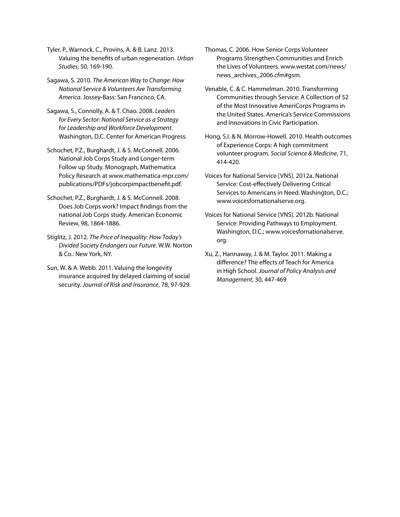Tyler, P., Warnock, C., Provins, A. & B. Lanz. 2013. Valuing the benefits of urban regeneration. *Urban Studies*, 50, 169-190.

Sagawa, S. 2010. *The American Way to Change: How National Service & Volunteers Are Transforming America*. Jossey-Bass: San Francisco, CA.

Sagawa, S., Connolly, A. & T. Chao. 2008. *Leaders for Every Sector: National Service as a Strategy for Leadership and Workforce Development*. Washington, D.C. Center for American Progress.

Schochet, P.Z., Burghardt, J. & S. McConnell. 2006. National Job Corps Study and Longer-term Follow up Study. Monograph, Mathematica Policy Research at www.mathematica-mpr.com/ publications/PDFs/jobcorpimpactbenefit.pdf.

Schochet, P.Z., Burghardt, J. & S. McConnell. 2008. Does Job Corps work? Impact findings from the national Job Corps study. American Economic Review, 98, 1864-1886.

Stiglitz, J. 2012. *The Price of Inequality: How Today's Divided Society Endangers our Future*. W.W. Norton & Co.: New York, NY.

Sun, W. & A. Webb. 2011. Valuing the longevity insurance acquired by delayed claiming of social security. *Journal of Risk and Insurance*, 78, 97-929. Thomas, C. 2006. How Senior Corps Volunteer Programs Strengthen Communities and Enrich the Lives of Volunteers. www.westat.com/news/ news\_archives\_2006.cfm#gsm.

Venable, C. & C. Hammelman. 2010. Transforming Communities through Service: A Collection of 52 of the Most Innovative AmeriCorps Programs in the United States. America's Service Commissions and Innovations in Civic Participation.

Hong, S.I. & N. Morrow-Howell. 2010. Health outcomes of Experience Corps: A high commitment volunteer program. *Social Science & Medicine*, 71, 414-420.

Voices for National Service [VNS]. 2012a. National Service: Cost-effectively Delivering Critical Services to Americans in Need. Washington, D.C.; www.voicesfornationalserve.org.

Voices for National Service [VNS]. 2012b. National Service: Providing Pathways to Employment. Washington, D.C.; www.voicesfornationalserve. org.

Xu, Z., Hannaway, J. & M. Taylor. 2011. Making a difference? The effects of Teach for America in High School. *Journal of Policy Analysis and Management*, 30, 447-469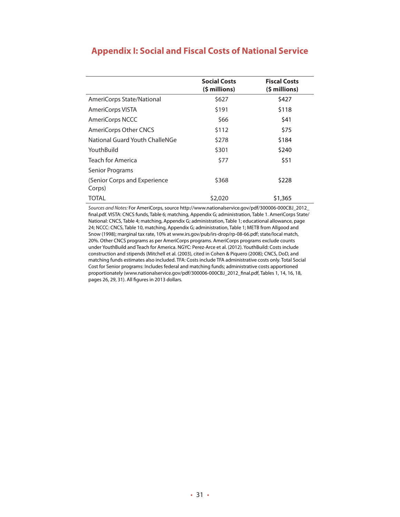|                                        | <b>Social Costs</b><br>$(5 millions)$ | <b>Fiscal Costs</b><br>(\$ millions) |
|----------------------------------------|---------------------------------------|--------------------------------------|
| AmeriCorps State/National              | \$627                                 | \$427                                |
| AmeriCorps VISTA                       | \$191                                 | \$118                                |
| AmeriCorps NCCC                        | \$66                                  | \$41                                 |
| AmeriCorps Other CNCS                  | \$112                                 | \$75                                 |
| National Guard Youth ChalleNGe         | \$278                                 | \$184                                |
| YouthBuild                             | \$301                                 | \$240                                |
| <b>Teach for America</b>               | \$77                                  | \$51                                 |
| Senior Programs                        |                                       |                                      |
| (Senior Corps and Experience<br>Corps) | \$368                                 | \$228                                |
| TOTAL                                  | \$2,020                               | \$1,365                              |

## **Appendix I: Social and Fiscal Costs of National Service**

*Sources and Notes:* For AmeriCorps, source http://www.nationalservice.gov/pdf/300006-000CBJ\_2012\_ final.pdf. VISTA: CNCS funds, Table 6; matching, Appendix G; administration, Table 1. AmeriCorps State/ National: CNCS, Table 4; matching, Appendix G; administration, Table 1; educational allowance, page 24; NCCC: CNCS, Table 10, matching, Appendix G; administration, Table 1; METB from Allgood and Snow (1998); marginal tax rate, 10% at www.irs.gov/pub/irs-drop/rp-08-66.pdf; state/local match, 20%. Other CNCS programs as per AmeriCorps programs. AmeriCorps programs exclude counts under YouthBuild and Teach for America. NGYC: Perez-Arce et al. (2012). YouthBuild: Costs include construction and stipends (Mitchell et al. (2003), cited in Cohen & Piquero (2008); CNCS, DoD, and matching funds estimates also included. TFA: Costs include TFA administrative costs only. Total Social Cost for Senior programs: Includes federal and matching funds; administrative costs apportioned proportionately (www.nationalservice.gov/pdf/300006-000CBJ\_2012\_final.pdf, Tables 1, 14, 16, 18, pages 26, 29, 31). All figures in 2013 dollars.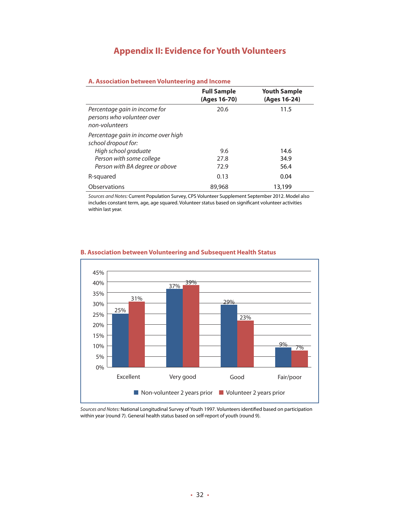## **Appendix II: Evidence for Youth Volunteers**

#### **A. Association between Volunteering and Income Full Sample (Ages 16-70) Youth Sample (Ages 16-24)** *Percentage gain in income for*  20.6 11.5

| persons who volunteer over<br>non-volunteers |        |  |
|----------------------------------------------|--------|--|
| Percentage gain in income over high          |        |  |
| school dropout for:                          |        |  |
| High school graduate<br>9.6                  | 14.6   |  |
| Person with some college<br>27.8             | 34.9   |  |
| Person with BA degree or above<br>72.9       | 56.4   |  |
| R-squared<br>0.13                            | 0.04   |  |
| <b>Observations</b><br>89,968                | 13,199 |  |

*Sources and Notes:* Current Population Survey, CPS Volunteer Supplement September 2012. Model also includes constant term, age, age squared. Volunteer status based on significant volunteer activities within last year.



#### **B. Association between Volunteering and Subsequent Health Status**

*Sources and Notes:* National Longitudinal Survey of Youth 1997. Volunteers identified based on participation within year (round 7). General health status based on self-report of youth (round 9).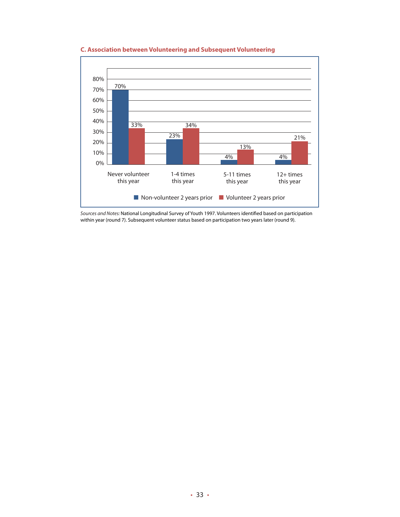

#### **C. Association between Volunteering and Subsequent Volunteering**

*Sources and Notes:* National Longitudinal Survey of Youth 1997. Volunteers identified based on participation within year (round 7). Subsequent volunteer status based on participation two years later (round 9).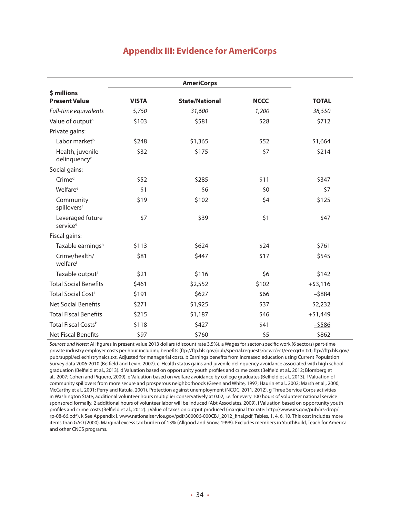## **Appendix III: Evidence for AmeriCorps**

|                                              |              | <b>AmeriCorps</b>     |             |              |
|----------------------------------------------|--------------|-----------------------|-------------|--------------|
| \$ millions<br><b>Present Value</b>          | <b>VISTA</b> | <b>State/National</b> | <b>NCCC</b> | <b>TOTAL</b> |
| Full-time equivalents                        | 5,750        | 31,600                | 1,200       | 38,550       |
| Value of output <sup>a</sup>                 | \$103        | \$581                 | \$28        | \$712        |
| Private gains:                               |              |                       |             |              |
| Labor market <sup>b</sup>                    | \$248        | \$1,365               | \$52        | \$1,664      |
| Health, juvenile<br>delinquency <sup>c</sup> | \$32         | \$175                 | \$7         | \$214        |
| Social gains:                                |              |                       |             |              |
| Crime <sup>d</sup>                           | \$52         | \$285                 | \$11        | \$347        |
| Welfare <sup>e</sup>                         | \$1          | \$6                   | \$0         | \$7          |
| Community<br>spilloversf                     | \$19         | \$102                 | \$4         | \$125        |
| Leveraged future<br>service <sup>9</sup>     | \$7          | \$39                  | \$1         | \$47         |
| Fiscal gains:                                |              |                       |             |              |
| Taxable earningsh                            | \$113        | \$624                 | \$24        | \$761        |
| Crime/health/<br>welfare <sup>i</sup>        | \$81         | \$447                 | \$17        | \$545        |
| Taxable output <sup>j</sup>                  | \$21         | \$116                 | \$6         | \$142        |
| <b>Total Social Benefits</b>                 | \$461        | \$2,552               | \$102       | $+ $3,116$   |
| Total Social Cost <sup>k</sup>               | \$191        | \$627                 | \$66        | $-5884$      |
| <b>Net Social Benefits</b>                   | \$271        | \$1,925               | \$37        | \$2,232      |
| <b>Total Fiscal Benefits</b>                 | \$215        | \$1,187               | \$46        | $+ $1,449$   |
| Total Fiscal Costs <sup>k</sup>              | \$118        | \$427                 | \$41        | $-5586$      |
| <b>Net Fiscal Benefits</b>                   | \$97         | \$760                 | \$5         | \$862        |

*Sources and Notes:* All figures in present value 2013 dollars (discount rate 3.5%). a Wages for sector-specific work (6 sectors) part-time private industry employer costs per hour including benefits (ftp://ftp.bls.gov/pub/special.requests/ocwc/ect/ececqrtn.txt; ftp://ftp.bls.gov/ pub/suppl/eci.echistrynaics.txt. Adjusted for managerial costs. b Earnings benefits from increased education using Current Population Survey data 2006-2010 (Belfield and Levin, 2007). c Health status gains and juvenile delinquency avoidance associated with high school graduation (Belfield et al., 2013). d Valuation based on opportunity youth profiles and crime costs (Belfield et al., 2012; Blomberg et al., 2007; Cohen and Piquero, 2009). e Valuation based on welfare avoidance by college graduates (Belfield et al., 2013). f Valuation of community spillovers from more secure and prosperous neighborhoods (Green and White, 1997; Haurin et al., 2002; Marsh et al., 2000; McCarthy et al., 2001; Perry and Katula, 2001). Protection against unemployment (NCOC, 2011, 2012). g Three Service Corps activities in Washington State; additional volunteer hours multiplier conservatively at 0.02, i.e. for every 100 hours of volunteer national service sponsored formally, 2 additional hours of volunteer labor will be induced (Abt Associates, 2009). i Valuation based on opportunity youth profiles and crime costs (Belfield et al., 2012). j Value of taxes on output produced (marginal tax rate: http://www.irs.gov/pub/irs-drop/ rp-08-66.pdf). k See Appendix I. www.nationalservice.gov/pdf/300006-000CBJ\_2012\_final.pdf, Tables, 1, 4, 6, 10. This cost includes more items than GAO (2000). Marginal excess tax burden of 13% (Allgood and Snow, 1998). Excludes members in YouthBuild, Teach for America and other CNCS programs.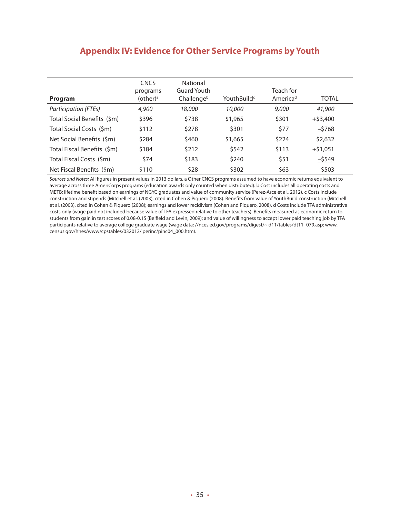## **Appendix IV: Evidence for Other Service Programs by Youth**

| Program                     | <b>CNCS</b><br>programs<br>(other)ª | National<br>Guard Youth<br>Challengeb | YouthBuild <sup>c</sup> | Teach for<br>America <sup>d</sup> | <b>TOTAL</b> |
|-----------------------------|-------------------------------------|---------------------------------------|-------------------------|-----------------------------------|--------------|
| Participation (FTEs)        | 4,900                               | 18,000                                | 10,000                  | 9,000                             | 41,900       |
| Total Social Benefits (\$m) | \$396                               | \$738                                 | \$1,965                 | \$301                             | $+$ \$3,400  |
| Total Social Costs (\$m)    | \$112                               | \$278                                 | \$301                   | \$77                              | $-5768$      |
| Net Social Benefits (\$m)   | \$284                               | \$460                                 | \$1,665                 | \$224                             | \$2,632      |
| Total Fiscal Benefits (\$m) | \$184                               | \$212                                 | \$542                   | \$113                             | $+$ \$1,051  |
| Total Fiscal Costs (\$m)    | \$74                                | \$183                                 | \$240                   | \$51                              | $-5549$      |
| Net Fiscal Benefits (\$m)   | \$110                               | \$28                                  | \$302                   | \$63                              | \$503        |

*Sources and Notes:* All figures in present values in 2013 dollars. a Other CNCS programs assumed to have economic returns equivalent to average across three AmeriCorps programs (education awards only counted when distributed). b Cost includes all operating costs and METB; lifetime benefit based on earnings of NGYC graduates and value of community service (Perez-Arce et al., 2012). c Costs include construction and stipends (Mitchell et al. (2003), cited in Cohen & Piquero (2008). Benefits from value of YouthBuild construction (Mitchell et al. (2003), cited in Cohen & Piquero (2008); earnings and lower recidivism (Cohen and Piquero, 2008). d Costs include TFA administrative costs only (wage paid not included because value of TFA expressed relative to other teachers). Benefits measured as economic return to students from gain in test scores of 0.08-0.15 (Belfield and Levin, 2009); and value of willingness to accept lower paid teaching job by TFA participants relative to average college graduate wage (wage data: //nces.ed.gov/programs/digest/~ d11/tables/dt11\_079.asp; www. census.gov/hhes/www/cpstables/032012/ perinc/pinc04\_000.htm).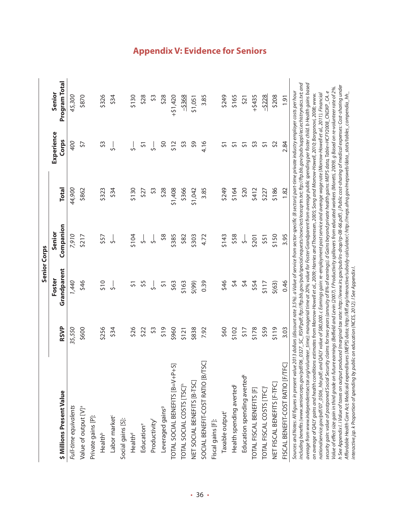|                                                                                                                                                                                                                                                                                                                                                                                                                                                                                                                                                                                                                                                                                                                                                                                                                                                                                                                                                                                                                                                                                                                                                                                                                                                                                                                                                                                                                                                                                                                                                                                                                                                                                                                                                                                                      |             | <b>Senior Corps</b>   |                     |              |                     |                         |
|------------------------------------------------------------------------------------------------------------------------------------------------------------------------------------------------------------------------------------------------------------------------------------------------------------------------------------------------------------------------------------------------------------------------------------------------------------------------------------------------------------------------------------------------------------------------------------------------------------------------------------------------------------------------------------------------------------------------------------------------------------------------------------------------------------------------------------------------------------------------------------------------------------------------------------------------------------------------------------------------------------------------------------------------------------------------------------------------------------------------------------------------------------------------------------------------------------------------------------------------------------------------------------------------------------------------------------------------------------------------------------------------------------------------------------------------------------------------------------------------------------------------------------------------------------------------------------------------------------------------------------------------------------------------------------------------------------------------------------------------------------------------------------------------------|-------------|-----------------------|---------------------|--------------|---------------------|-------------------------|
| \$ Millions Present Value                                                                                                                                                                                                                                                                                                                                                                                                                                                                                                                                                                                                                                                                                                                                                                                                                                                                                                                                                                                                                                                                                                                                                                                                                                                                                                                                                                                                                                                                                                                                                                                                                                                                                                                                                                            | <b>RSVP</b> | Grandparent<br>Foster | Companion<br>Senior | <b>Total</b> | Experience<br>Corps | Program Total<br>Senior |
| Full-time equivalents                                                                                                                                                                                                                                                                                                                                                                                                                                                                                                                                                                                                                                                                                                                                                                                                                                                                                                                                                                                                                                                                                                                                                                                                                                                                                                                                                                                                                                                                                                                                                                                                                                                                                                                                                                                | 35,550      | 1,440                 | 7,910               | 44,900       | 400                 | 45,300                  |
| Value of output [V] <sup>ª</sup>                                                                                                                                                                                                                                                                                                                                                                                                                                                                                                                                                                                                                                                                                                                                                                                                                                                                                                                                                                                                                                                                                                                                                                                                                                                                                                                                                                                                                                                                                                                                                                                                                                                                                                                                                                     | \$600       | \$46                  | \$217               | \$862        | 57                  | \$870                   |
| Private gains [P]:                                                                                                                                                                                                                                                                                                                                                                                                                                                                                                                                                                                                                                                                                                                                                                                                                                                                                                                                                                                                                                                                                                                                                                                                                                                                                                                                                                                                                                                                                                                                                                                                                                                                                                                                                                                   |             |                       |                     |              |                     |                         |
| Health <sup>b</sup>                                                                                                                                                                                                                                                                                                                                                                                                                                                                                                                                                                                                                                                                                                                                                                                                                                                                                                                                                                                                                                                                                                                                                                                                                                                                                                                                                                                                                                                                                                                                                                                                                                                                                                                                                                                  | \$256       | 510                   | \$57                | \$323        | \$3                 | \$326                   |
| Labor market <sup>c</sup>                                                                                                                                                                                                                                                                                                                                                                                                                                                                                                                                                                                                                                                                                                                                                                                                                                                                                                                                                                                                                                                                                                                                                                                                                                                                                                                                                                                                                                                                                                                                                                                                                                                                                                                                                                            | \$34        | $\frac{1}{2}$         | $\frac{1}{2}$       | \$34         | لۍ                  | \$34                    |
| Social gains [S]:                                                                                                                                                                                                                                                                                                                                                                                                                                                                                                                                                                                                                                                                                                                                                                                                                                                                                                                                                                                                                                                                                                                                                                                                                                                                                                                                                                                                                                                                                                                                                                                                                                                                                                                                                                                    |             |                       |                     |              |                     |                         |
| Health <sup>d</sup>                                                                                                                                                                                                                                                                                                                                                                                                                                                                                                                                                                                                                                                                                                                                                                                                                                                                                                                                                                                                                                                                                                                                                                                                                                                                                                                                                                                                                                                                                                                                                                                                                                                                                                                                                                                  | \$26        | 57                    | \$104               | \$130        |                     | \$130                   |
| Educatione                                                                                                                                                                                                                                                                                                                                                                                                                                                                                                                                                                                                                                                                                                                                                                                                                                                                                                                                                                                                                                                                                                                                                                                                                                                                                                                                                                                                                                                                                                                                                                                                                                                                                                                                                                                           | \$22        | 55                    | ⊹∻                  | 527          | $\overline{5}$      | \$28                    |
| Productivity <sup>f</sup>                                                                                                                                                                                                                                                                                                                                                                                                                                                                                                                                                                                                                                                                                                                                                                                                                                                                                                                                                                                                                                                                                                                                                                                                                                                                                                                                                                                                                                                                                                                                                                                                                                                                                                                                                                            | \$3         | ⊹                     | $\frac{1}{2}$       | \$Ş          | ⊹                   | \$3                     |
| Leveraged gains <sup>9</sup>                                                                                                                                                                                                                                                                                                                                                                                                                                                                                                                                                                                                                                                                                                                                                                                                                                                                                                                                                                                                                                                                                                                                                                                                                                                                                                                                                                                                                                                                                                                                                                                                                                                                                                                                                                         | \$19        | $\overline{5}$        | $\frac{8}{3}$       | \$28         | 9Ś                  | \$28                    |
| TOTAL SOCIAL BENEFITS [B=V+P+S]                                                                                                                                                                                                                                                                                                                                                                                                                                                                                                                                                                                                                                                                                                                                                                                                                                                                                                                                                                                                                                                                                                                                                                                                                                                                                                                                                                                                                                                                                                                                                                                                                                                                                                                                                                      | \$960       | \$63                  | \$385               | \$1,408      | \$12                | $+51,420$               |
| TOTAL SOCIAL COSTS [TSC] <sup>h</sup>                                                                                                                                                                                                                                                                                                                                                                                                                                                                                                                                                                                                                                                                                                                                                                                                                                                                                                                                                                                                                                                                                                                                                                                                                                                                                                                                                                                                                                                                                                                                                                                                                                                                                                                                                                | \$121       | \$163                 | \$82                | \$366        | $\mathfrak{S}$      | $-5368$                 |
| NET SOCIAL BENEFITS [B-TSC]                                                                                                                                                                                                                                                                                                                                                                                                                                                                                                                                                                                                                                                                                                                                                                                                                                                                                                                                                                                                                                                                                                                                                                                                                                                                                                                                                                                                                                                                                                                                                                                                                                                                                                                                                                          | \$838       | 5(99)                 | \$303               | \$1,042      | $\zeta$             | \$1,051                 |
| <b>IDSC</b><br>SOCIAL BENEFIT-COST RATIO [B/T                                                                                                                                                                                                                                                                                                                                                                                                                                                                                                                                                                                                                                                                                                                                                                                                                                                                                                                                                                                                                                                                                                                                                                                                                                                                                                                                                                                                                                                                                                                                                                                                                                                                                                                                                        | 7.92        | 0.39                  | 4.72                | 3.85         | 4.16                | 3.85                    |
| Fiscal gains [F]:                                                                                                                                                                                                                                                                                                                                                                                                                                                                                                                                                                                                                                                                                                                                                                                                                                                                                                                                                                                                                                                                                                                                                                                                                                                                                                                                                                                                                                                                                                                                                                                                                                                                                                                                                                                    |             |                       |                     |              |                     |                         |
| Taxable output                                                                                                                                                                                                                                                                                                                                                                                                                                                                                                                                                                                                                                                                                                                                                                                                                                                                                                                                                                                                                                                                                                                                                                                                                                                                                                                                                                                                                                                                                                                                                                                                                                                                                                                                                                                       | \$60        | \$46                  | \$143               | \$249        | 51                  | \$249                   |
| Health spending averted                                                                                                                                                                                                                                                                                                                                                                                                                                                                                                                                                                                                                                                                                                                                                                                                                                                                                                                                                                                                                                                                                                                                                                                                                                                                                                                                                                                                                                                                                                                                                                                                                                                                                                                                                                              | \$102       | $\dot{5}$             | \$58                | \$164        | $\overline{5}$      | \$165                   |
| Education spending averted <sup>k</sup>                                                                                                                                                                                                                                                                                                                                                                                                                                                                                                                                                                                                                                                                                                                                                                                                                                                                                                                                                                                                                                                                                                                                                                                                                                                                                                                                                                                                                                                                                                                                                                                                                                                                                                                                                              | 517         | $\dot{5}$             | ⊹                   | \$20         | $\overline{5}$      | $\frac{5}{2}$           |
| TOTAL FISCAL BENEFITS [F]                                                                                                                                                                                                                                                                                                                                                                                                                                                                                                                                                                                                                                                                                                                                                                                                                                                                                                                                                                                                                                                                                                                                                                                                                                                                                                                                                                                                                                                                                                                                                                                                                                                                                                                                                                            | \$178       | \$54                  | \$201               | \$412        | \$3                 | $+5435$                 |
| TOTAL FISCAL COSTS [TFC]                                                                                                                                                                                                                                                                                                                                                                                                                                                                                                                                                                                                                                                                                                                                                                                                                                                                                                                                                                                                                                                                                                                                                                                                                                                                                                                                                                                                                                                                                                                                                                                                                                                                                                                                                                             | \$59        | \$117                 | \$51                | \$227        | $\overline{5}$      | $-5228$                 |
| NET FISCAL BENEFITS [F-TFC]                                                                                                                                                                                                                                                                                                                                                                                                                                                                                                                                                                                                                                                                                                                                                                                                                                                                                                                                                                                                                                                                                                                                                                                                                                                                                                                                                                                                                                                                                                                                                                                                                                                                                                                                                                          | 6115        | \$(63)                | \$150               | \$186        | $\overline{52}$     | \$208                   |
| FISCAL BENEFIT-COST RATIO [F/TFC]                                                                                                                                                                                                                                                                                                                                                                                                                                                                                                                                                                                                                                                                                                                                                                                                                                                                                                                                                                                                                                                                                                                                                                                                                                                                                                                                                                                                                                                                                                                                                                                                                                                                                                                                                                    | 3.03        | 0.46                  | 3.95                | 1.82         | 2.84                | <b>1.91</b>             |
| including benefits (www.seniorcorps.gov/pdf/06_0327_SC_RSVP.pdf; ftp://ftp.bls.gov/pub/special.requests/ocwc/ect/ececqrtn.txt; ftp://ftp.bls.gov/pub/suppl/eci.echistrynaics.txt; and<br>average from www.independentsector.org/volunteer_time); managerial time at 20%; value for foster Grandparent from average public spending per foster child. b Health gains based<br>h See Appendix I. i Value of taxes on output produced (marginal tax rate: http://www.irs.gov/pub/irs-drop/rp-08-66.pdf). J Public cost-sharing of medical expenses: Cost-sharing under<br>Value of effect size gain in third grade on future earnings (Belfield and Levin (2007). f Productivity spillovers from educated workers (Moretti, 2009). g Based on re-volunteer rate of 2%<br>Sources and Notes: All figures in present value 2013 dollars (discount rate 3.5%), a Value of service from sector-specific (8 sectors) part-time private industry employer costs per hour<br>security gain: value of postponed Social Security claims for two years (annuity of 8% of earnings). d Gains beyond private health gains: MEPS data, Table=HCFY2008_CNDXP_CA. e<br>nationalservice.gov/pdf/07_0506_hbr.pdf; and QALY value of \$80,000. c Earnings gain: re-employment post service and average wage rate (Morrow-Howell et al., 2011). Financial<br>Affordable Health Care Act; Medicaid expenditures (MEPS) data; http://kfi.org/interactive/subsidy-calculator/; http://meps.ahrq.gov/mepsweb/data_stats/tables_compendia_hh_<br>on average of QALY gains and health conditions estimates from Morrow-Howell et al., 2009; Harries and Thoeresen, 2005; Song and Morrow-Howell, 2010; Borgonovi, 2008; www.<br>interactive.jsp. k Proportion of spending by public on education (NCES, 2012). I See Appendix l. |             |                       |                     |              |                     |                         |

## **Appendix V: Evidence for Seniors**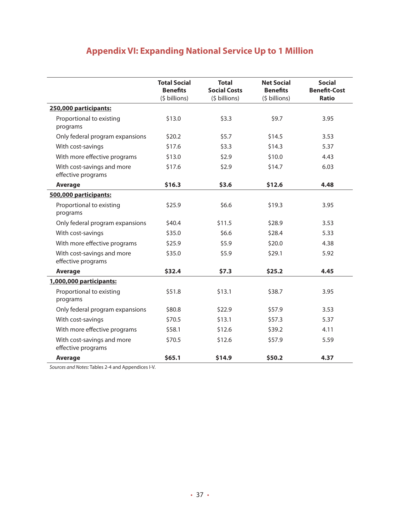## **Appendix VI: Expanding National Service Up to 1 Million**

|                                                  | <b>Total Social</b><br><b>Benefits</b><br>(\$ billions) | <b>Total</b><br><b>Social Costs</b><br>(\$ billions) | <b>Net Social</b><br><b>Benefits</b><br>(\$ billions) | <b>Social</b><br><b>Benefit-Cost</b><br><b>Ratio</b> |
|--------------------------------------------------|---------------------------------------------------------|------------------------------------------------------|-------------------------------------------------------|------------------------------------------------------|
| 250,000 participants:                            |                                                         |                                                      |                                                       |                                                      |
| Proportional to existing<br>programs             | \$13.0                                                  | \$3.3                                                | \$9.7                                                 | 3.95                                                 |
| Only federal program expansions                  | \$20.2\$                                                | \$5.7                                                | \$14.5                                                | 3.53                                                 |
| With cost-savings                                | \$17.6                                                  | \$3.3                                                | \$14.3                                                | 5.37                                                 |
| With more effective programs                     | \$13.0                                                  | \$2.9                                                | \$10.0                                                | 4.43                                                 |
| With cost-savings and more<br>effective programs | \$17.6                                                  | \$2.9                                                | \$14.7                                                | 6.03                                                 |
| <b>Average</b>                                   | \$16.3                                                  | \$3.6                                                | \$12.6                                                | 4.48                                                 |
| 500,000 participants:                            |                                                         |                                                      |                                                       |                                                      |
| Proportional to existing<br>programs             | \$25.9                                                  | \$6.6                                                | \$19.3                                                | 3.95                                                 |
| Only federal program expansions                  | \$40.4                                                  | \$11.5                                               | \$28.9                                                | 3.53                                                 |
| With cost-savings                                | \$35.0                                                  | \$6.6                                                | \$28.4                                                | 5.33                                                 |
| With more effective programs                     | \$25.9                                                  | \$5.9                                                | \$20.0                                                | 4.38                                                 |
| With cost-savings and more<br>effective programs | \$35.0                                                  | \$5.9                                                | \$29.1                                                | 5.92                                                 |
| <b>Average</b>                                   | \$32.4                                                  | \$7.3                                                | \$25.2                                                | 4.45                                                 |
| 1,000,000 participants:                          |                                                         |                                                      |                                                       |                                                      |
| Proportional to existing<br>programs             | \$51.8                                                  | \$13.1                                               | \$38.7                                                | 3.95                                                 |
| Only federal program expansions                  | \$80.8                                                  | \$22.9                                               | \$57.9                                                | 3.53                                                 |
| With cost-savings                                | \$70.5                                                  | \$13.1                                               | \$57.3                                                | 5.37                                                 |
| With more effective programs                     | \$58.1                                                  | \$12.6                                               | \$39.2                                                | 4.11                                                 |
| With cost-savings and more<br>effective programs | \$70.5                                                  | \$12.6                                               | \$57.9                                                | 5.59                                                 |
| <b>Average</b>                                   | \$65.1                                                  | \$14.9                                               | \$50.2                                                | 4.37                                                 |

*Sources and Notes:* Tables 2-4 and Appendices I-V.